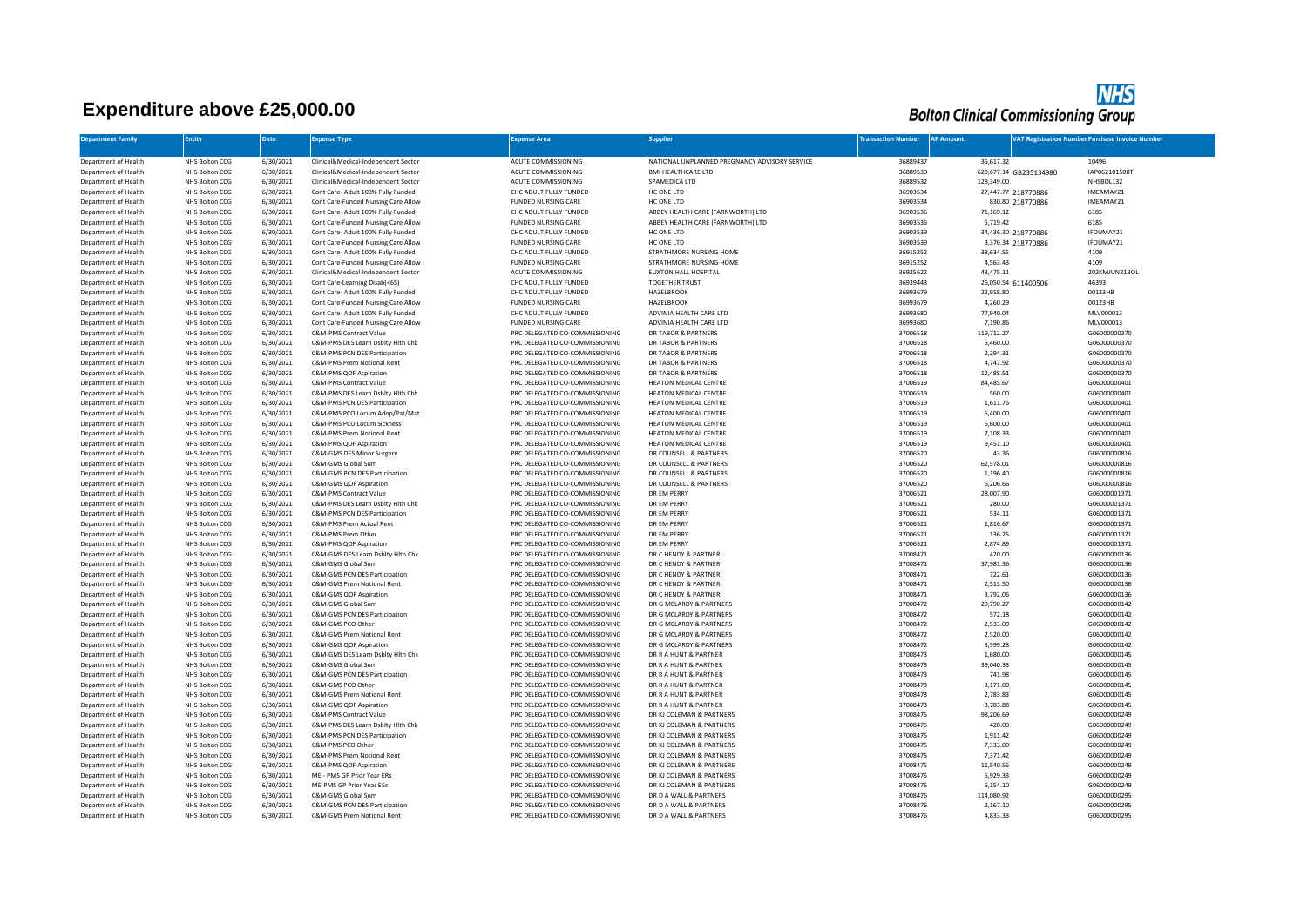## **Expenditure above £25,000.00**



| <b>Department Family</b>                     | <b>Entity</b>                           | <b>Date</b>            | <b>Expense Type</b>                                                       | <b>Expense Area</b>                                              | <b>Supplier</b>                                    | <b>Transaction Number</b> | <b>AP Amount</b>       | <b>VAT Registration Number Purchase Invoice Number</b> |
|----------------------------------------------|-----------------------------------------|------------------------|---------------------------------------------------------------------------|------------------------------------------------------------------|----------------------------------------------------|---------------------------|------------------------|--------------------------------------------------------|
|                                              |                                         |                        |                                                                           |                                                                  |                                                    |                           |                        |                                                        |
| Department of Health                         | NHS Bolton CCG                          | 6/30/2021              | Clinical&Medical-Independent Sector                                       | ACUTE COMMISSIONING                                              | NATIONAL UNPLANNED PREGNANCY ADVISORY SERVICE      | 36889437                  | 35,617.32              | 10496                                                  |
| Department of Health                         | NHS Bolton CCG                          | 6/30/2021              | Clinical&Medical-Independent Sector                                       | ACUTE COMMISSIONING                                              | <b>BMI HEALTHCARE LTD</b>                          | 36889530                  | 629,677.14 GB235134980 | IAP062101500T                                          |
| Department of Health                         | NHS Bolton CCG                          | 6/30/2021              | Clinical&Medical-Independent Sector                                       | ACUTE COMMISSIONING                                              | SPAMEDICA LTD                                      | 36889532                  | 128,349.00             | NHSBOL132                                              |
| Department of Health                         | NHS Bolton CCG                          | 6/30/2021              | Cont Care- Adult 100% Fully Funded                                        | CHC ADULT FULLY FUNDED                                           | HC ONE LTD                                         | 36903534                  | 27,447.77 218770886    | IMEAMAY21                                              |
| Department of Health                         | NHS Bolton CCG                          | 6/30/2021              | Cont Care-Funded Nursing Care Allow                                       | <b>FUNDED NURSING CARE</b>                                       | HC ONE LTD                                         | 36903534                  | 830.80 218770886       | IMEAMAY21                                              |
| Department of Health                         | NHS Bolton CCG                          | 6/30/2021              | Cont Care- Adult 100% Fully Funded                                        | CHC ADULT FULLY FUNDED                                           | ABBEY HEALTH CARE (FARNWORTH) LTD                  | 36903536                  | 71,169.12              | 6185                                                   |
| Department of Health                         | NHS Bolton CCG                          | 6/30/2021              | Cont Care-Funded Nursing Care Allow                                       | FUNDED NURSING CARE                                              | ABBEY HEALTH CARE (FARNWORTH) LTD                  | 36903536                  | 5,719.42               | 6185                                                   |
| Department of Health                         | NHS Bolton CCG                          | 6/30/2021              | Cont Care- Adult 100% Fully Funded                                        | CHC ADULT FULLY FUNDED                                           | HC ONE LTD                                         | 36903539                  | 34,436.30 218770886    | IFOUMAY21                                              |
| Department of Health                         | NHS Bolton CCG                          | 6/30/2021              | Cont Care-Funded Nursing Care Allow                                       | <b>FUNDED NURSING CARE</b>                                       | HC ONE LTD                                         | 36903539                  | 3,376.34 218770886     | IFOUMAY21                                              |
| Department of Health                         | NHS Bolton CCG                          | 6/30/2021              | Cont Care- Adult 100% Fully Funded                                        | CHC ADULT FULLY FUNDED                                           | STRATHMORE NURSING HOME                            | 36915252                  | 38.634.55              | 4109                                                   |
| Department of Health                         | NHS Bolton CCG                          | 6/30/2021              | Cont Care-Funded Nursing Care Allow                                       | <b>FUNDED NURSING CARE</b>                                       | STRATHMORE NURSING HOME                            | 36915252                  | 4,563.43               | 4109                                                   |
| Department of Health                         | NHS Bolton CCG                          | 6/30/2021              | Clinical&Medical-Independent Sector                                       | ACUTE COMMISSIONING                                              | EUXTON HALL HOSPITAL                               | 36925622                  | 43,475.11              | 202KMJUN21BOL                                          |
| Department of Health                         | <b>NHS Bolton CCG</b>                   | 6/30/2021              | Cont Care-Learning Disab(<65)                                             | CHC ADULT FULLY FUNDED                                           | <b>TOGETHER TRUST</b>                              | 36939443                  | 26,050.54 611400506    | 46393                                                  |
| Department of Health                         | NHS Bolton CCG                          | 6/30/2021              | Cont Care- Adult 100% Fully Funded                                        | CHC ADULT FULLY FUNDED                                           | <b>HAZELBROOK</b>                                  | 36993679                  | 22,918.80              | 00123HB                                                |
| Department of Health                         | NHS Bolton CCG                          | 6/30/2021              | Cont Care-Funded Nursing Care Allow                                       | <b>FUNDED NURSING CARE</b>                                       | <b>HAZELBROOK</b>                                  | 36993679                  | 4,260.29               | 00123HB                                                |
| Department of Health<br>Department of Health | NHS Bolton CCG<br><b>NHS Bolton CCG</b> | 6/30/2021<br>6/30/2021 | Cont Care- Adult 100% Fully Funded<br>Cont Care-Funded Nursing Care Allow | CHC ADULT FULLY FUNDED<br><b>FUNDED NURSING CARE</b>             | ADVINIA HEALTH CARE LTD<br>ADVINIA HEALTH CARE LTD | 36993680<br>36993680      | 77,940.04<br>7,190.86  | MLV000013<br>MLV000013                                 |
|                                              | NHS Bolton CCG                          | 6/30/2021              | C&M-PMS Contract Value                                                    | PRC DELEGATED CO-COMMISSIONING                                   | DR TABOR & PARTNERS                                | 37006518                  | 119,712.27             | G06000000370                                           |
| Department of Health<br>Department of Health | NHS Bolton CCG                          | 6/30/2021              | C&M-PMS DES Learn Dsblty Hlth Chk                                         | PRC DELEGATED CO-COMMISSIONING                                   | DR TABOR & PARTNERS                                | 37006518                  | 5,460.00               | G06000000370                                           |
| Department of Health                         | NHS Bolton CCG                          | 6/30/2021              | C&M-PMS PCN DES Participation                                             | PRC DELEGATED CO-COMMISSIONING                                   | DR TABOR & PARTNERS                                | 37006518                  | 2,294.31               | G06000000370                                           |
| Department of Health                         | <b>NHS Bolton CCG</b>                   | 6/30/2021              | C&M-PMS Prem Notional Rent                                                | PRC DELEGATED CO-COMMISSIONING                                   | DR TABOR & PARTNERS                                | 37006518                  | 4,747.92               | G06000000370                                           |
| Department of Health                         | NHS Bolton CCG                          | 6/30/2021              | C&M-PMS QOF Aspiration                                                    | PRC DELEGATED CO-COMMISSIONING                                   | DR TABOR & PARTNERS                                | 37006518                  | 12,488.51              | G06000000370                                           |
| Department of Health                         | NHS Bolton CCG                          | 6/30/2021              | <b>C&amp;M-PMS Contract Value</b>                                         | PRC DELEGATED CO-COMMISSIONING                                   | <b>HEATON MEDICAL CENTRE</b>                       | 37006519                  | 84,485.67              | G06000000401                                           |
| Department of Health                         | NHS Bolton CCG                          | 6/30/2021              | C&M-PMS DES Learn Dsblty Hith Chk                                         | PRC DELEGATED CO-COMMISSIONING                                   | HEATON MEDICAL CENTRE                              | 37006519                  | 560.00                 | G06000000401                                           |
| Department of Health                         | NHS Bolton CCG                          | 6/30/2021              | C&M-PMS PCN DES Participation                                             | PRC DELEGATED CO-COMMISSIONING                                   | <b>HEATON MEDICAL CENTRE</b>                       | 37006519                  | 1,611.76               | G06000000401                                           |
| Department of Health                         | NHS Bolton CCG                          | 6/30/2021              | C&M-PMS PCO Locum Adop/Pat/Mat                                            | PRC DELEGATED CO-COMMISSIONING                                   | HEATON MEDICAL CENTRE                              | 37006519                  | 5,400.00               | G06000000401                                           |
| Department of Health                         | NHS Bolton CCG                          | 6/30/2021              | C&M-PMS PCO Locum Sickness                                                | PRC DELEGATED CO-COMMISSIONING                                   | HEATON MEDICAL CENTRE                              | 37006519                  | 6,600.00               | G06000000401                                           |
| Department of Health                         | NHS Bolton CCG                          | 6/30/2021              | C&M-PMS Prem Notional Rent                                                | PRC DELEGATED CO-COMMISSIONING                                   | HEATON MEDICAL CENTRE                              | 37006519                  | 7,108.33               | G06000000401                                           |
| Department of Health                         | NHS Bolton CCG                          | 6/30/2021              | C&M-PMS QOF Aspiration                                                    | PRC DELEGATED CO-COMMISSIONING                                   | HEATON MEDICAL CENTRE                              | 37006519                  | 9,451.10               | G06000000401                                           |
| Department of Health                         | NHS Bolton CCG                          | 6/30/2021              | C&M-GMS DES Minor Surgery                                                 | PRC DELEGATED CO-COMMISSIONING                                   | DR COUNSELL & PARTNERS                             | 37006520                  | 43.36                  | G06000000816                                           |
| Department of Health                         | NHS Bolton CCG                          | 6/30/2021              | C&M-GMS Global Sum                                                        | PRC DELEGATED CO-COMMISSIONING                                   | DR COUNSELL & PARTNERS                             | 37006520                  | 62,578.01              | G06000000816                                           |
| Department of Health                         | <b>NHS Bolton CCG</b>                   | 6/30/2021              | C&M-GMS PCN DES Participation                                             | PRC DELEGATED CO-COMMISSIONING                                   | DR COUNSELL & PARTNERS                             | 37006520                  | 1,196.40               | G06000000816                                           |
| Department of Health                         | NHS Bolton CCG                          | 6/30/2021              | C&M-GMS QOF Aspiration                                                    | PRC DELEGATED CO-COMMISSIONING                                   | DR COUNSELL & PARTNERS                             | 37006520                  | 6,206.66               | G06000000816                                           |
| Department of Health                         | NHS Bolton CCG                          | 6/30/2021              | C&M-PMS Contract Value                                                    | PRC DELEGATED CO-COMMISSIONING                                   | DR EM PERRY                                        | 37006521                  | 28,007.90              | G06000001371                                           |
| Department of Health                         | NHS Bolton CCG                          | 6/30/2021              | C&M-PMS DES Learn Dsblty Hlth Chk                                         | PRC DELEGATED CO-COMMISSIONING                                   | DR EM PERRY                                        | 37006521                  | 280.00                 | G06000001371                                           |
| Department of Health                         | <b>NHS Bolton CCG</b>                   | 6/30/2021              | C&M-PMS PCN DES Participation                                             | PRC DELEGATED CO-COMMISSIONING                                   | DR EM PERRY                                        | 37006521                  | 534.11                 | G06000001371                                           |
| Department of Health                         | NHS Bolton CCG                          | 6/30/2021              | C&M-PMS Prem Actual Rent                                                  | PRC DELEGATED CO-COMMISSIONING                                   | DR EM PERRY                                        | 37006521                  | 1,816.67               | G06000001371                                           |
| Department of Health                         | NHS Bolton CCG                          | 6/30/2021              | C&M-PMS Prem Other                                                        | PRC DELEGATED CO-COMMISSIONING                                   | DR EM PERRY                                        | 37006521                  | 136.25                 | G06000001371                                           |
| Department of Health                         | NHS Bolton CCG                          | 6/30/2021              | C&M-PMS QOF Aspiration                                                    | PRC DELEGATED CO-COMMISSIONING                                   | <b>DR EM PERRY</b>                                 | 37006521                  | 2,874.89               | G06000001371                                           |
| Department of Health                         | <b>NHS Bolton CCG</b>                   | 6/30/2021              | C&M-GMS DES Learn Dsblty Hith Chk<br>C&M-GMS Global Sum                   | PRC DELEGATED CO-COMMISSIONING                                   | DR C HENDY & PARTNER                               | 37008471                  | 420.00                 | G06000000136                                           |
| Department of Health                         | NHS Bolton CCG                          | 6/30/2021              |                                                                           | PRC DELEGATED CO-COMMISSIONING                                   | DR C HENDY & PARTNER                               | 37008471                  | 37,981.36              | G06000000136                                           |
| Department of Health<br>Department of Health | NHS Bolton CCG<br>NHS Bolton CCG        | 6/30/2021<br>6/30/2021 | C&M-GMS PCN DES Participation<br>C&M-GMS Prem Notional Rent               | PRC DELEGATED CO-COMMISSIONING<br>PRC DELEGATED CO-COMMISSIONING | DR C HENDY & PARTNER<br>DR C HENDY & PARTNER       | 37008471<br>37008471      | 722.61<br>2,513.50     | G06000000136<br>G06000000136                           |
| Department of Health                         | NHS Bolton CCG                          | 6/30/2021              | C&M-GMS OOF Asniration                                                    | PRC DELEGATED CO-COMMISSIONING                                   | DR C HENDY & PARTNER                               | 37008471                  | 3,792.06               | G06000000136                                           |
| Department of Health                         | NHS Bolton CCG                          | 6/30/2021              | C&M-GMS Global Sum                                                        | PRC DELEGATED CO-COMMISSIONING                                   | DR G MCLARDY & PARTNERS                            | 37008472                  | 29,790.27              | G06000000142                                           |
| Department of Health                         | NHS Bolton CCG                          | 6/30/2021              | C&M-GMS PCN DES Participation                                             | PRC DELEGATED CO-COMMISSIONING                                   | DR G MCLARDY & PARTNERS                            | 37008472                  | 572.18                 | G06000000142                                           |
| Department of Health                         | NHS Bolton CCG                          | 6/30/2021              | C&M-GMS PCO Other                                                         | PRC DELEGATED CO-COMMISSIONING                                   | DR G MCLARDY & PARTNERS                            | 37008472                  | 2,533.00               | G06000000142                                           |
| Department of Health                         | NHS Bolton CCG                          | 6/30/2021              | C&M-GMS Prem Notional Rent                                                | PRC DELEGATED CO-COMMISSIONING                                   | DR G MCLARDY & PARTNERS                            | 37008472                  | 2,520.00               | G06000000142                                           |
| Department of Health                         | NHS Bolton CCG                          | 6/30/2021              | C&M-GMS QOF Aspiration                                                    | PRC DELEGATED CO-COMMISSIONING                                   | DR G MCLARDY & PARTNERS                            | 37008472                  | 3,599.28               | G06000000142                                           |
| Department of Health                         | NHS Bolton CCG                          | 6/30/2021              | C&M-GMS DES Learn Dsblty Hlth Chk                                         | PRC DELEGATED CO-COMMISSIONING                                   | DR R A HUNT & PARTNER                              | 37008473                  | 1,680.00               | G06000000145                                           |
| Department of Health                         | <b>NHS Bolton CCG</b>                   | 6/30/2021              | C&M-GMS Global Sum                                                        | PRC DELEGATED CO-COMMISSIONING                                   | DR R A HUNT & PARTNER                              | 37008473                  | 39.040.33              | G06000000145                                           |
| Department of Health                         | NHS Bolton CCG                          | 6/30/2021              | C&M-GMS PCN DES Participation                                             | PRC DELEGATED CO-COMMISSIONING                                   | DR R A HUNT & PARTNER                              | 37008473                  | 741.98                 | G06000000145                                           |
| Department of Health                         | NHS Bolton CCG                          | 6/30/2021              | C&M-GMS PCO Other                                                         | PRC DELEGATED CO-COMMISSIONING                                   | DR R A HUNT & PARTNER                              | 37008473                  | 3,171.00               | G06000000145                                           |
| Department of Health                         | NHS Bolton CCG                          | 6/30/2021              | C&M-GMS Prem Notional Rent                                                | PRC DELEGATED CO-COMMISSIONING                                   | DR R A HUNT & PARTNER                              | 37008473                  | 2,783.83               | G06000000145                                           |
| Department of Health                         | <b>NHS Bolton CCG</b>                   | 6/30/2021              | C&M-GMS QOF Aspiration                                                    | PRC DELEGATED CO-COMMISSIONING                                   | DR R A HUNT & PARTNER                              | 37008473                  | 3,783.88               | G06000000145                                           |
| Department of Health                         | NHS Bolton CCG                          | 6/30/2021              | <b>C&amp;M-PMS Contract Value</b>                                         | PRC DELEGATED CO-COMMISSIONING                                   | DR KJ COLEMAN & PARTNERS                           | 37008475                  | 98,206.69              | G06000000249                                           |
| Department of Health                         | NHS Bolton CCG                          | 6/30/2021              | C&M-PMS DES Learn Dsblty Hith Chk                                         | PRC DELEGATED CO-COMMISSIONING                                   | DR KJ COLEMAN & PARTNERS                           | 37008475                  | 420.00                 | G06000000249                                           |
| Department of Health                         | NHS Bolton CCG                          | 6/30/2021              | C&M-PMS PCN DES Participation                                             | PRC DELEGATED CO-COMMISSIONING                                   | DR KJ COLEMAN & PARTNERS                           | 37008475                  | 1,911.42               | G06000000249                                           |
| Department of Health                         | <b>NHS Bolton CCG</b>                   | 6/30/2021              | C&M-PMS PCO Other                                                         | PRC DELEGATED CO-COMMISSIONING                                   | DR KJ COLEMAN & PARTNERS                           | 37008475                  | 7,333.00               | G06000000249                                           |
| Department of Health                         | NHS Bolton CCG                          | 6/30/2021              | C&M-PMS Prem Notional Rent                                                | PRC DELEGATED CO-COMMISSIONING                                   | DR KJ COLEMAN & PARTNERS                           | 37008475                  | 7,371.42               | G06000000249                                           |
| Department of Health                         | NHS Bolton CCG                          | 6/30/2021              | C&M-PMS QOF Aspiration                                                    | PRC DELEGATED CO-COMMISSIONING                                   | DR KJ COLEMAN & PARTNERS                           | 37008475                  | 11,540.56              | G06000000249                                           |
| Department of Health                         | NHS Bolton CCG                          | 6/30/2021              | ME - PMS GP Prior Year ERs                                                | PRC DELEGATED CO-COMMISSIONING                                   | DR KJ COLEMAN & PARTNERS                           | 37008475                  | 5,929.33               | G06000000249                                           |
| Department of Health                         | NHS Bolton CCG                          | 6/30/2021              | ME-PMS GP Prior Year EEs<br>C&M-GMS Global Sum                            | PRC DELEGATED CO-COMMISSIONING<br>PRC DELEGATED CO-COMMISSIONING | DR KJ COLEMAN & PARTNERS<br>DR D A WALL & PARTNERS | 37008475                  | 5,154.10               | G06000000249                                           |
| Department of Health                         | NHS Bolton CCG                          | 6/30/2021              |                                                                           |                                                                  | DR D A WALL & PARTNERS                             | 37008476<br>37008476      | 114,080.92<br>2,167.10 | G06000000295<br>G06000000295                           |
| Department of Health<br>Department of Health | NHS Bolton CCG<br>NHS Bolton CCG        | 6/30/2021<br>6/30/2021 | C&M-GMS PCN DES Participation<br><b>C&amp;M-GMS Prem Notional Rent</b>    | PRC DELEGATED CO-COMMISSIONING<br>PRC DELEGATED CO-COMMISSIONING | DR D A WALL & PARTNERS                             | 37008476                  | 4.833.33               | G06000000295                                           |
|                                              |                                         |                        |                                                                           |                                                                  |                                                    |                           |                        |                                                        |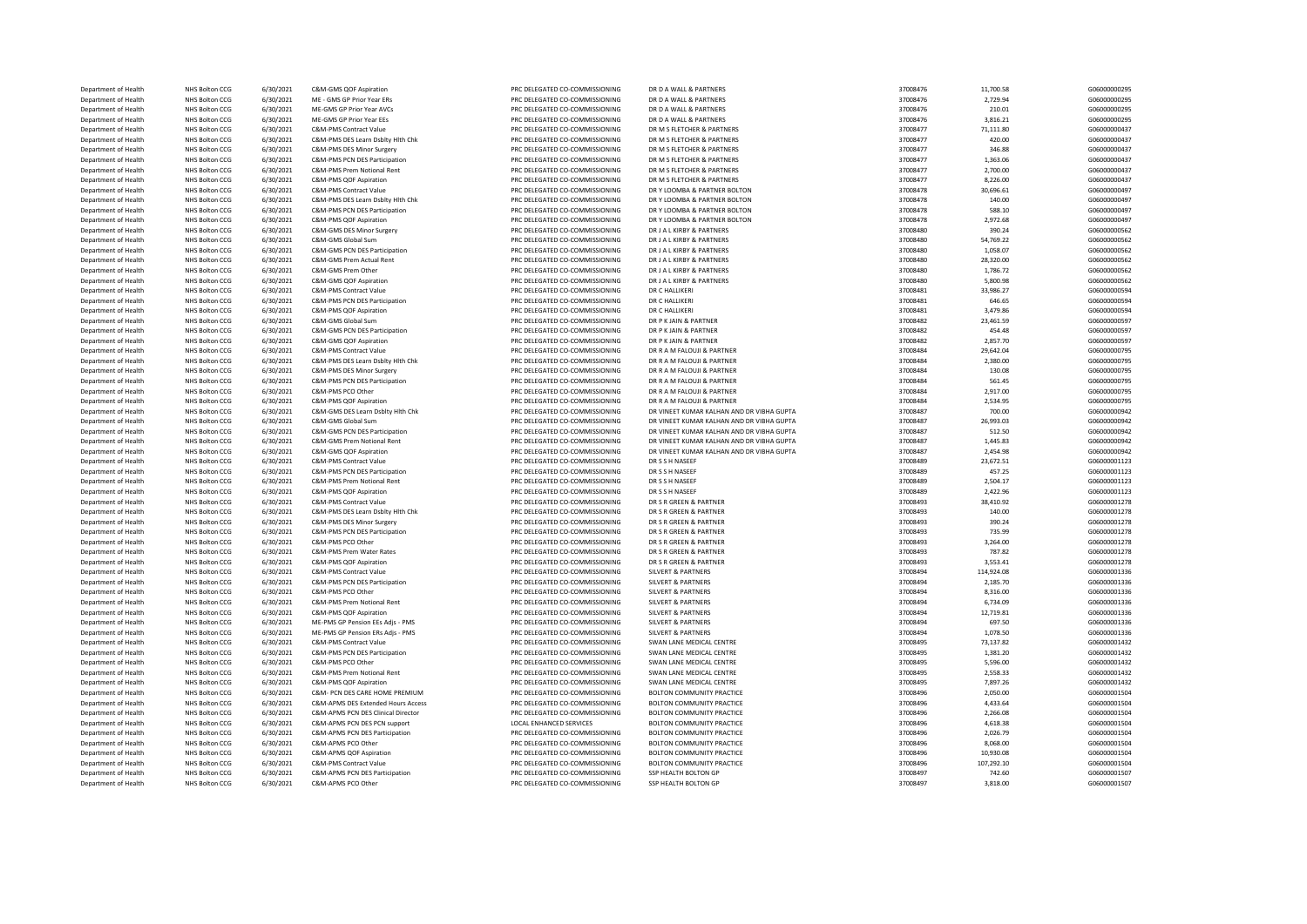| Department of Health | <b>NHS Bolton CCG</b> | 6/30/2021 | C&M-GMS QOF Aspiration                | PRC DELEGATED CO-COMMISSIONING | DR D A WALL & PARTNERS                      | 37008476 | 11,700.58  | G06000000295 |
|----------------------|-----------------------|-----------|---------------------------------------|--------------------------------|---------------------------------------------|----------|------------|--------------|
| Department of Health | NHS Bolton CCG        | 6/30/2021 | ME - GMS GP Prior Year ERs            | PRC DELEGATED CO-COMMISSIONING | DR D A WALL & PARTNERS                      | 37008476 | 2,729.94   | G06000000295 |
| Department of Health | NHS Bolton CCG        | 6/30/2021 | ME-GMS GP Prior Year AVCs             | PRC DELEGATED CO-COMMISSIONING | DR D A WALL & PARTNERS                      | 37008476 | 210.01     | G06000000295 |
| Department of Health | NHS Bolton CCG        | 6/30/2021 | ME-GMS GP Prior Year EEs              | PRC DELEGATED CO-COMMISSIONING | DR D A WALL & PARTNERS                      | 37008476 | 3,816.21   | G06000000295 |
| Department of Health | NHS Bolton CCG        | 6/30/2021 | <b>C&amp;M-PMS Contract Value</b>     | PRC DELEGATED CO-COMMISSIONING | DR M S FLETCHER & PARTNERS                  | 37008477 | 71,111.80  | G06000000437 |
| Department of Health | NHS Bolton CCG        | 6/30/2021 | C&M-PMS DES Learn Dsblty Hlth Chk     | PRC DELEGATED CO-COMMISSIONING | DR M S FLETCHER & PARTNERS                  | 37008477 | 420.00     | G06000000437 |
| Department of Health | NHS Bolton CCG        | 6/30/2021 | C&M-PMS DES Minor Surgery             | PRC DELEGATED CO-COMMISSIONING | DR M S FLETCHER & PARTNERS                  | 37008477 | 346.88     | G06000000437 |
| Department of Health | NHS Bolton CCG        | 6/30/2021 | C&M-PMS PCN DES Participation         | PRC DELEGATED CO-COMMISSIONING | DR M S FLETCHER & PARTNERS                  | 37008477 | 1,363.06   | G06000000437 |
| Department of Health | NHS Bolton CCG        | 6/30/2021 | C&M-PMS Prem Notional Rent            | PRC DELEGATED CO-COMMISSIONING | DR M S FLETCHER & PARTNERS                  | 37008477 | 2,700.00   | G06000000437 |
| Department of Health | NHS Bolton CCG        | 6/30/2021 | C&M-PMS QOF Aspiration                | PRC DELEGATED CO-COMMISSIONING | DR M S FLETCHER & PARTNERS                  | 37008477 | 8,226.00   | G06000000437 |
| Department of Health | NHS Bolton CCG        | 6/30/2021 | C&M-PMS Contract Value                | PRC DELEGATED CO-COMMISSIONING | DR Y LOOMBA & PARTNER BOLTON                | 37008478 | 30,696.61  | G06000000497 |
| Department of Health | NHS Bolton CCG        | 6/30/2021 | C&M-PMS DES Learn Dsblty Hlth Chk     | PRC DELEGATED CO-COMMISSIONING | DR Y LOOMBA & PARTNER BOLTON                | 37008478 | 140.00     | G06000000497 |
| Department of Health | NHS Bolton CCG        | 6/30/2021 | C&M-PMS PCN DES Participation         | PRC DELEGATED CO-COMMISSIONING | DR Y LOOMBA & PARTNER BOLTON                | 37008478 | 588.10     | G06000000497 |
| Department of Health | NHS Bolton CCG        | 6/30/2021 | C&M-PMS QOF Aspiration                | PRC DELEGATED CO-COMMISSIONING | DR Y LOOMBA & PARTNER BOLTON                | 37008478 | 2,972.68   | G06000000497 |
| Department of Health | NHS Bolton CCG        | 6/30/2021 | C&M-GMS DES Minor Surgery             | PRC DELEGATED CO-COMMISSIONING | DR J A L KIRBY & PARTNERS                   | 37008480 | 390.24     | G06000000562 |
| Department of Health | NHS Bolton CCG        | 6/30/2021 | C&M-GMS Global Sum                    | PRC DELEGATED CO-COMMISSIONING | DR J A L KIRBY & PARTNERS                   | 37008480 | 54,769.22  | G06000000562 |
| Department of Health | NHS Bolton CCG        | 6/30/2021 | C&M-GMS PCN DES Participation         | PRC DELEGATED CO-COMMISSIONING | DR J A L KIRBY & PARTNERS                   | 37008480 | 1,058.07   | G06000000562 |
| Department of Health | NHS Bolton CCG        | 6/30/2021 | C&M-GMS Prem Actual Rent              | PRC DELEGATED CO-COMMISSIONING | DR J A L KIRBY & PARTNERS                   | 37008480 | 28,320.00  | G06000000562 |
| Department of Health | NHS Bolton CCG        | 6/30/2021 | C&M-GMS Prem Other                    | PRC DELEGATED CO-COMMISSIONING | DR LA LKIRBY & PARTNERS                     | 37008480 | 1,786.72   | G06000000562 |
|                      |                       |           |                                       |                                |                                             |          |            |              |
| Department of Health | NHS Bolton CCG        | 6/30/2021 | C&M-GMS QOF Aspiration                | PRC DELEGATED CO-COMMISSIONING | DR J A L KIRBY & PARTNERS<br>DR C HALLIKERI | 37008480 | 5,800.98   | G06000000562 |
| Department of Health | NHS Bolton CCG        | 6/30/2021 | C&M-PMS Contract Value                | PRC DELEGATED CO-COMMISSIONING |                                             | 37008481 | 33,986.27  | G06000000594 |
| Department of Health | NHS Bolton CCG        | 6/30/2021 | C&M-PMS PCN DES Participation         | PRC DELEGATED CO-COMMISSIONING | DR C HALLIKERI                              | 37008481 | 646.65     | G06000000594 |
| Department of Health | NHS Bolton CCG        | 6/30/2021 | C&M-PMS QOF Aspiration                | PRC DELEGATED CO-COMMISSIONING | DR C HALLIKERI                              | 37008481 | 3,479.86   | G06000000594 |
| Department of Health | NHS Bolton CCG        | 6/30/2021 | C&M-GMS Global Sum                    | PRC DELEGATED CO-COMMISSIONING | DR P K JAIN & PARTNER                       | 37008482 | 23,461.59  | G06000000597 |
| Department of Health | NHS Bolton CCG        | 6/30/2021 | C&M-GMS PCN DES Participation         | PRC DELEGATED CO-COMMISSIONING | DR P K JAIN & PARTNER                       | 37008482 | 454.48     | G06000000597 |
| Department of Health | NHS Bolton CCG        | 6/30/2021 | C&M-GMS OOF Asniration                | PRC DELEGATED CO-COMMISSIONING | DR P K JAIN & PARTNER                       | 37008482 | 2,857.70   | G06000000597 |
| Department of Health | NHS Bolton CCG        | 6/30/2021 | C&M-PMS Contract Value                | PRC DELEGATED CO-COMMISSIONING | DR R A M FALOUJI & PARTNER                  | 37008484 | 29,642.04  | G06000000795 |
| Department of Health | NHS Bolton CCG        | 6/30/2021 | C&M-PMS DES Learn Dsblty Hlth Chk     | PRC DELEGATED CO-COMMISSIONING | DR R A M FALOUJI & PARTNER                  | 37008484 | 2,380.00   | G06000000795 |
| Department of Health | NHS Bolton CCG        | 6/30/2021 | C&M-PMS DES Minor Surgery             | PRC DELEGATED CO-COMMISSIONING | DR R A M FALOUJI & PARTNER                  | 37008484 | 130.08     | G06000000795 |
| Department of Health | NHS Bolton CCG        | 6/30/2021 | C&M-PMS PCN DES Participation         | PRC DELEGATED CO-COMMISSIONING | DR R A M FALOUJI & PARTNER                  | 37008484 | 561.45     | G06000000795 |
| Department of Health | NHS Bolton CCG        | 6/30/2021 | C&M-PMS PCO Other                     | PRC DELEGATED CO-COMMISSIONING | DR R A M FALOUJI & PARTNER                  | 37008484 | 2,917.00   | G06000000795 |
| Department of Health | NHS Bolton CCG        | 6/30/2021 | C&M-PMS QOF Aspiration                | PRC DELEGATED CO-COMMISSIONING | DR R A M FALOUJI & PARTNER                  | 37008484 | 2,534.95   | G06000000795 |
| Department of Health | NHS Bolton CCG        | 6/30/2021 | C&M-GMS DES Learn Dsblty Hith Chk     | PRC DELEGATED CO-COMMISSIONING | DR VINEET KUMAR KALHAN AND DR VIBHA GUPTA   | 37008487 | 700.00     | G06000000942 |
| Department of Health | NHS Bolton CCG        | 6/30/2021 | C&M-GMS Global Sum                    | PRC DELEGATED CO-COMMISSIONING | DR VINEET KUMAR KALHAN AND DR VIBHA GUPTA   | 37008487 | 26,993.03  | G06000000942 |
| Department of Health | NHS Bolton CCG        | 6/30/2021 | C&M-GMS PCN DES Participation         | PRC DELEGATED CO-COMMISSIONING | DR VINEET KUMAR KALHAN AND DR VIBHA GUPTA   | 37008487 | 512.50     | G06000000942 |
| Department of Health | NHS Bolton CCG        | 6/30/2021 | <b>C&amp;M-GMS Prem Notional Rent</b> | PRC DELEGATED CO-COMMISSIONING | DR VINEET KUMAR KALHAN AND DR VIBHA GUPTA   | 37008487 | 1,445.83   | G06000000942 |
| Department of Health | NHS Bolton CCG        | 6/30/2021 | C&M-GMS QOF Aspiration                | PRC DELEGATED CO-COMMISSIONING | DR VINEET KUMAR KALHAN AND DR VIBHA GUPTA   | 37008487 | 2,454.98   | G06000000942 |
| Department of Health | NHS Bolton CCG        | 6/30/2021 | C&M-PMS Contract Value                | PRC DELEGATED CO-COMMISSIONING | DR S S H NASEEF                             | 37008489 | 23,672.51  | G06000001123 |
| Department of Health | NHS Bolton CCG        | 6/30/2021 | C&M-PMS PCN DES Participation         | PRC DELEGATED CO-COMMISSIONING | DR S S H NASEEF                             | 37008489 | 457.25     | G06000001123 |
| Department of Health | NHS Bolton CCG        | 6/30/2021 | C&M-PMS Prem Notional Rent            | PRC DELEGATED CO-COMMISSIONING | DR S S H NASEEF                             | 37008489 | 2,504.17   | G06000001123 |
| Department of Health | NHS Bolton CCG        | 6/30/2021 | C&M-PMS QOF Aspiration                | PRC DELEGATED CO-COMMISSIONING | DR S S H NASEEF                             | 37008489 | 2,422.96   | G06000001123 |
| Department of Health | NHS Bolton CCG        | 6/30/2021 | C&M-PMS Contract Value                | PRC DELEGATED CO-COMMISSIONING | DR S R GREEN & PARTNER                      | 37008493 | 38,410.92  | G06000001278 |
| Department of Health | NHS Bolton CCG        | 6/30/2021 | C&M-PMS DES Learn Dsblty Hith Chk     | PRC DELEGATED CO-COMMISSIONING | DR S R GREEN & PARTNER                      | 37008493 | 140.00     | G06000001278 |
| Department of Health | NHS Bolton CCG        | 6/30/2021 | C&M-PMS DES Minor Surgery             | PRC DELEGATED CO-COMMISSIONING | DR S R GREEN & PARTNER                      | 37008493 | 390.24     | G06000001278 |
| Department of Health | NHS Bolton CCG        | 6/30/2021 | C&M-PMS PCN DES Participation         | PRC DELEGATED CO-COMMISSIONING | DR S R GREEN & PARTNER                      | 37008493 | 735.99     | G06000001278 |
| Department of Health | NHS Bolton CCG        | 6/30/2021 | C&M-PMS PCO Other                     | PRC DELEGATED CO-COMMISSIONING | DR S R GREEN & PARTNER                      | 37008493 | 3,264.00   | G06000001278 |
| Department of Health | NHS Bolton CCG        | 6/30/2021 | C&M-PMS Prem Water Rates              | PRC DELEGATED CO-COMMISSIONING | DR S R GREEN & PARTNER                      | 37008493 | 787.82     | G06000001278 |
| Department of Health | NHS Bolton CCG        | 6/30/2021 | C&M-PMS QOF Aspiration                | PRC DELEGATED CO-COMMISSIONING | DR S R GREEN & PARTNER                      | 37008493 | 3,553.41   | G06000001278 |
| Department of Health | NHS Bolton CCG        | 6/30/2021 | C&M-PMS Contract Value                | PRC DELEGATED CO-COMMISSIONING | <b>SILVERT &amp; PARTNERS</b>               | 37008494 | 114,924.08 | G06000001336 |
| Department of Health |                       |           | C&M-PMS PCN DES Participation         | PRC DELEGATED CO-COMMISSIONING | <b>SILVERT &amp; PARTNERS</b>               | 37008494 |            | G06000001336 |
|                      | NHS Bolton CCG        | 6/30/2021 |                                       |                                |                                             |          | 2,185.70   |              |
| Department of Health | NHS Bolton CCG        | 6/30/2021 | C&M-PMS PCO Other                     | PRC DELEGATED CO-COMMISSIONING | <b>SILVERT &amp; PARTNERS</b>               | 37008494 | 8,316.00   | G06000001336 |
| Department of Health | NHS Bolton CCG        | 6/30/2021 | C&M-PMS Prem Notional Rent            | PRC DELEGATED CO-COMMISSIONING | <b>SILVERT &amp; PARTNERS</b>               | 37008494 | 6,734.09   | G06000001336 |
| Department of Health | NHS Bolton CCG        | 6/30/2021 | C&M-PMS QOF Aspiration                | PRC DELEGATED CO-COMMISSIONING | <b>SILVERT &amp; PARTNERS</b>               | 37008494 | 12,719.81  | G06000001336 |
| Department of Health | NHS Bolton CCG        | 6/30/2021 | ME-PMS GP Pension EEs Adjs - PMS      | PRC DELEGATED CO-COMMISSIONING | <b>SILVERT &amp; PARTNERS</b>               | 37008494 | 697.50     | G06000001336 |
| Department of Health | NHS Bolton CCG        | 6/30/2021 | ME-PMS GP Pension ERs Adjs - PMS      | PRC DELEGATED CO-COMMISSIONING | <b>SILVERT &amp; PARTNERS</b>               | 37008494 | 1,078.50   | G06000001336 |
| Department of Health | NHS Bolton CCG        | 6/30/2021 | <b>C&amp;M-PMS Contract Value</b>     | PRC DELEGATED CO-COMMISSIONING | SWAN LANE MEDICAL CENTRE                    | 37008495 | 73,137.82  | G06000001432 |
| Department of Health | NHS Bolton CCG        | 6/30/2021 | C&M-PMS PCN DES Participation         | PRC DELEGATED CO-COMMISSIONING | SWAN LANE MEDICAL CENTRE                    | 37008495 | 1,381.20   | G06000001432 |
| Department of Health | NHS Bolton CCG        | 6/30/2021 | C&M-PMS PCO Other                     | PRC DELEGATED CO-COMMISSIONING | SWAN LANE MEDICAL CENTRE                    | 37008495 | 5,596.00   | G06000001432 |
| Department of Health | NHS Bolton CCG        | 6/30/2021 | C&M-PMS Prem Notional Rent            | PRC DELEGATED CO-COMMISSIONING | SWAN LANE MEDICAL CENTRE                    | 37008495 | 2,558.33   | G06000001432 |
| Department of Health | NHS Bolton CCG        | 6/30/2021 | C&M-PMS QOF Aspiration                | PRC DELEGATED CO-COMMISSIONING | SWAN LANE MEDICAL CENTRE                    | 37008495 | 7,897.26   | G06000001432 |
| Department of Health | NHS Bolton CCG        | 6/30/2021 | C&M- PCN DES CARE HOME PREMIUM        | PRC DELEGATED CO-COMMISSIONING | BOLTON COMMUNITY PRACTICE                   | 37008496 | 2,050.00   | G06000001504 |
| Department of Health | NHS Bolton CCG        | 6/30/2021 | C&M-APMS DES Extended Hours Access    | PRC DELEGATED CO-COMMISSIONING | BOLTON COMMUNITY PRACTICE                   | 37008496 | 4,433.64   | G06000001504 |
| Department of Health | NHS Bolton CCG        | 6/30/2021 | C&M-APMS PCN DES Clinical Director    | PRC DELEGATED CO-COMMISSIONING | BOLTON COMMUNITY PRACTICE                   | 37008496 | 2,266.08   | G06000001504 |
| Department of Health | NHS Bolton CCG        | 6/30/2021 | C&M-APMS PCN DES PCN support          | LOCAL ENHANCED SERVICES        | BOLTON COMMUNITY PRACTICE                   | 37008496 | 4,618.38   | G06000001504 |
| Department of Health | NHS Bolton CCG        | 6/30/2021 | C&M-APMS PCN DES Participation        | PRC DELEGATED CO-COMMISSIONING | <b>BOLTON COMMUNITY PRACTICE</b>            | 37008496 | 2,026.79   | G06000001504 |
| Department of Health | NHS Bolton CCG        | 6/30/2021 | C&M-APMS PCO Other                    | PRC DELEGATED CO-COMMISSIONING | BOLTON COMMUNITY PRACTICE                   | 37008496 | 8,068.00   | G06000001504 |
| Department of Health | NHS Bolton CCG        | 6/30/2021 | C&M-APMS QOF Aspiration               | PRC DELEGATED CO-COMMISSIONING | BOLTON COMMUNITY PRACTICE                   | 37008496 | 10,930.08  | G06000001504 |
| Department of Health | <b>NHS Bolton CCG</b> | 6/30/2021 | <b>C&amp;M-PMS Contract Value</b>     | PRC DELEGATED CO-COMMISSIONING | BOLTON COMMUNITY PRACTICE                   | 37008496 | 107,292.10 | G06000001504 |
| Department of Health | NHS Bolton CCG        | 6/30/2021 | C&M-APMS PCN DES Participation        | PRC DELEGATED CO-COMMISSIONING | SSP HEALTH BOLTON GP                        | 37008497 | 742.60     | G06000001507 |
| Department of Health | NHS Bolton CCG        | 6/30/2021 | C&M-APMS PCO Other                    | PRC DELEGATED CO-COMMISSIONING | SSP HEALTH BOLTON GP                        | 37008497 | 3,818.00   | G06000001507 |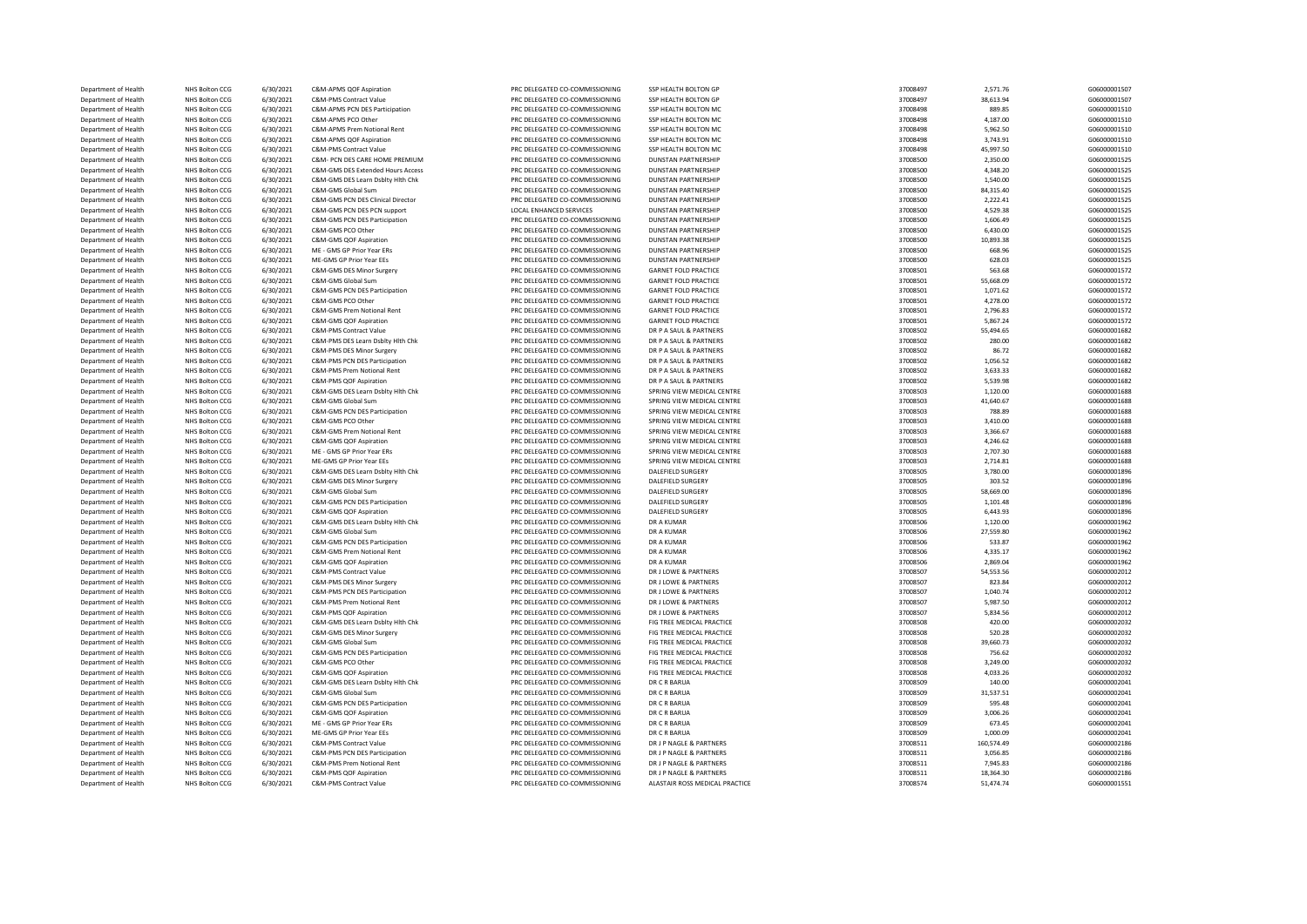| Department of Health | <b>NHS Bolton CCG</b>            | 6/30/2021              | C&M-APMS QOF Aspiration           | PRC DELEGATED CO-COMMISSIONING | SSP HEALTH BOLTON GP                         | 37008497             | 2,571.76            | G06000001507 |
|----------------------|----------------------------------|------------------------|-----------------------------------|--------------------------------|----------------------------------------------|----------------------|---------------------|--------------|
| Department of Health | NHS Bolton CCG                   | 6/30/2021              | C&M-PMS Contract Value            | PRC DELEGATED CO-COMMISSIONING | SSP HEALTH BOLTON GP                         | 37008497             | 38,613.94           | G06000001507 |
| Department of Health | NHS Bolton CCG                   | 6/30/2021              | C&M-APMS PCN DES Participation    | PRC DELEGATED CO-COMMISSIONING | SSP HEALTH BOLTON MC                         | 37008498             | 889.85              | G06000001510 |
| Department of Health | NHS Bolton CCG                   | 6/30/2021              | C&M-APMS PCO Other                | PRC DELEGATED CO-COMMISSIONING | SSP HEALTH BOLTON MC                         | 37008498             | 4,187.00            | G06000001510 |
|                      |                                  |                        |                                   |                                |                                              |                      |                     |              |
| Department of Health | NHS Bolton CCG                   | 6/30/2021              | C&M-APMS Prem Notional Rent       | PRC DELEGATED CO-COMMISSIONING | SSP HEALTH BOLTON MC                         | 37008498             | 5,962.50            | G06000001510 |
| Department of Health | NHS Bolton CCG                   | 6/30/2021              | C&M-APMS OOF Asniration           | PRC DELEGATED CO-COMMISSIONING | SSP HEALTH BOLTON MC                         | 37008498             | 3,743.91            | G06000001510 |
| Department of Health | NHS Bolton CCG                   | 6/30/2021              | <b>C&amp;M-PMS Contract Value</b> | PRC DELEGATED CO-COMMISSIONING | SSP HEALTH BOLTON MC                         | 37008498             | 45,997.50           | G06000001510 |
| Department of Health | NHS Bolton CCG                   | 6/30/2021              | C&M- PCN DES CARE HOME PREMIUM    | PRC DELEGATED CO-COMMISSIONING | <b>DUNSTAN PARTNERSHIP</b>                   | 37008500             | 2,350.00            | G06000001525 |
| Department of Health | NHS Bolton CCG                   | 6/30/2021              | C&M-GMS DES Extended Hours Access | PRC DELEGATED CO-COMMISSIONING | <b>DUNSTAN PARTNERSHIP</b>                   | 37008500             | 4.348.20            | G06000001525 |
| Department of Health | NHS Bolton CCG                   | 6/30/2021              | C&M-GMS DES Learn Dsblty Hlth Chk | PRC DELEGATED CO-COMMISSIONING | <b>DUNSTAN PARTNERSHIP</b>                   | 37008500             | 1,540.00            | G06000001525 |
|                      |                                  |                        |                                   |                                |                                              |                      |                     |              |
| Department of Health | NHS Bolton CCG                   | 6/30/2021              | C&M-GMS Global Sum                | PRC DELEGATED CO-COMMISSIONING | <b>DUNSTAN PARTNERSHIP</b>                   | 37008500             | 84,315.40           | G06000001525 |
| Department of Health | NHS Bolton CCG                   | 6/30/2021              | C&M-GMS PCN DES Clinical Director | PRC DELEGATED CO-COMMISSIONING | <b>DUNSTAN PARTNERSHIP</b>                   | 37008500             | 2,222.41            | G06000001525 |
| Department of Health | NHS Bolton CCG                   | 6/30/2021              | C&M-GMS PCN DES PCN support       | <b>LOCAL ENHANCED SERVICES</b> | <b>DUNSTAN PARTNERSHIP</b>                   | 37008500             | 4,529.38            | G06000001525 |
| Department of Health | NHS Bolton CCG                   | 6/30/2021              | C&M-GMS PCN DES Participation     | PRC DELEGATED CO-COMMISSIONING | <b>DUNSTAN PARTNERSHIP</b>                   | 37008500             | 1,606.49            | G06000001525 |
| Department of Health | NHS Bolton CCG                   | 6/30/2021              | C&M-GMS PCO Other                 | PRC DELEGATED CO-COMMISSIONING | <b>DUNSTAN PARTNERSHIP</b>                   | 37008500             | 6,430.00            | G06000001525 |
| Department of Health | NHS Bolton CCG                   | 6/30/2021              | C&M-GMS QOF Aspiration            | PRC DELEGATED CO-COMMISSIONING | <b>DUNSTAN PARTNERSHIP</b>                   | 37008500             | 10,893.38           | G06000001525 |
| Department of Health | NHS Bolton CCG                   | 6/30/2021              | ME - GMS GP Prior Year ERs        | PRC DELEGATED CO-COMMISSIONING | <b>DUNSTAN PARTNERSHIP</b>                   | 37008500             | 668.96              | G06000001525 |
| Department of Health | NHS Bolton CCG                   | 6/30/2021              | ME-GMS GP Prior Year EEs          | PRC DELEGATED CO-COMMISSIONING | <b>DUNSTAN PARTNERSHIP</b>                   | 37008500             | 628.03              | G06000001525 |
|                      |                                  |                        |                                   |                                |                                              |                      |                     |              |
| Department of Health | NHS Bolton CCG                   | 6/30/2021              | C&M-GMS DES Minor Surgery         | PRC DELEGATED CO-COMMISSIONING | <b>GARNET FOLD PRACTICE</b>                  | 37008501             | 563.68              | G06000001572 |
| Department of Health | NHS Bolton CCG                   | 6/30/2021              | C&M-GMS Global Sum                | PRC DELEGATED CO-COMMISSIONING | <b>GARNET FOLD PRACTICE</b>                  | 37008501             | 55,668.09           | G06000001572 |
| Department of Health | NHS Bolton CCG                   | 6/30/2021              | C&M-GMS PCN DES Participation     | PRC DELEGATED CO-COMMISSIONING | <b>GARNET FOLD PRACTICE</b>                  | 37008501             | 1,071.62            | G06000001572 |
| Department of Health | NHS Bolton CCG                   | 6/30/2021              | C&M-GMS PCO Other                 | PRC DELEGATED CO-COMMISSIONING | <b>GARNET FOLD PRACTICE</b>                  | 37008501             | 4,278.00            | G06000001572 |
| Department of Health | NHS Bolton CCG                   | 6/30/2021              | C&M-GMS Prem Notional Rent        | PRC DELEGATED CO-COMMISSIONING | <b>GARNET FOLD PRACTICE</b>                  | 37008501             | 2.796.83            | G06000001572 |
| Department of Health | NHS Bolton CCG                   | 6/30/2021              | C&M-GMS QOF Aspiration            | PRC DELEGATED CO-COMMISSIONING | <b>GARNET FOLD PRACTICE</b>                  | 37008501             | 5,867.24            | G06000001572 |
| Department of Health | NHS Bolton CCG                   | 6/30/2021              | C&M-PMS Contract Value            | PRC DELEGATED CO-COMMISSIONING | DR P A SAUL & PARTNERS                       | 37008502             | 55,494.65           | G06000001682 |
|                      |                                  |                        |                                   |                                |                                              |                      |                     |              |
| Department of Health | NHS Bolton CCG                   | 6/30/2021              | C&M-PMS DES Learn Dsblty Hith Chk | PRC DELEGATED CO-COMMISSIONING | DR P A SAUL & PARTNERS                       | 37008502             | 280.00              | G06000001682 |
| Department of Health | NHS Bolton CCG                   | 6/30/2021              | C&M-PMS DES Minor Surgery         | PRC DELEGATED CO-COMMISSIONING | DR P A SAUL & PARTNERS                       | 37008502             | 86.72               | G06000001682 |
| Department of Health | NHS Bolton CCG                   | 6/30/2021              | C&M-PMS PCN DES Participation     | PRC DELEGATED CO-COMMISSIONING | DR P A SAUL & PARTNERS                       | 37008502             | 1,056.52            | G06000001682 |
| Department of Health | NHS Bolton CCG                   | 6/30/2021              | C&M-PMS Prem Notional Rent        | PRC DELEGATED CO-COMMISSIONING | DR P A SAUL & PARTNERS                       | 37008502             | 3,633.33            | G06000001682 |
| Department of Health | NHS Bolton CCG                   | 6/30/2021              | C&M-PMS QOF Aspiration            | PRC DELEGATED CO-COMMISSIONING | DR P A SAUL & PARTNERS                       | 37008502             | 5.539.98            | G06000001682 |
| Department of Health | NHS Bolton CCG                   | 6/30/2021              | C&M-GMS DES Learn Dsblty Hlth Chk | PRC DELEGATED CO-COMMISSIONING | SPRING VIEW MEDICAL CENTRE                   | 37008503             | 1,120.00            | G06000001688 |
| Department of Health | NHS Bolton CCG                   | 6/30/2021              | C&M-GMS Global Sum                | PRC DELEGATED CO-COMMISSIONING | SPRING VIEW MEDICAL CENTRE                   | 37008503             | 41,640.67           | G06000001688 |
|                      |                                  |                        |                                   |                                |                                              |                      | 788.89              |              |
| Department of Health | NHS Bolton CCG                   | 6/30/2021              | C&M-GMS PCN DES Participation     | PRC DELEGATED CO-COMMISSIONING | SPRING VIEW MEDICAL CENTRE                   | 37008503             |                     | G06000001688 |
| Department of Health | NHS Bolton CCG                   | 6/30/2021              | C&M-GMS PCO Other                 | PRC DELEGATED CO-COMMISSIONING | SPRING VIEW MEDICAL CENTRE                   | 37008503             | 3,410.00            | G06000001688 |
| Department of Health | NHS Bolton CCG                   | 6/30/2021              | C&M-GMS Prem Notional Rent        | PRC DELEGATED CO-COMMISSIONING | SPRING VIEW MEDICAL CENTRE                   | 37008503             | 3.366.67            | G06000001688 |
| Department of Health | <b>NHS Bolton CCG</b>            | 6/30/2021              | C&M-GMS QOF Aspiration            | PRC DELEGATED CO-COMMISSIONING | SPRING VIEW MEDICAL CENTRE                   | 37008503             | 4,246.62            | G06000001688 |
| Department of Health | NHS Bolton CCG                   | 6/30/2021              | ME - GMS GP Prior Year ERs        | PRC DELEGATED CO-COMMISSIONING | SPRING VIEW MEDICAL CENTRE                   | 37008503             | 2,707.30            | G06000001688 |
| Department of Health | NHS Bolton CCG                   | 6/30/2021              | ME-GMS GP Prior Year EEs          | PRC DELEGATED CO-COMMISSIONING | SPRING VIEW MEDICAL CENTRE                   | 37008503             | 2,714.81            | G06000001688 |
| Department of Health | NHS Bolton CCG                   | 6/30/2021              | C&M-GMS DES Learn Dsblty Hith Chk | PRC DELEGATED CO-COMMISSIONING | DALEFIELD SURGERY                            | 37008505             | 3,780.00            | G06000001896 |
| Department of Health | NHS Bolton CCG                   | 6/30/2021              | C&M-GMS DES Minor Surgery         | PRC DELEGATED CO-COMMISSIONING | DALEFIELD SURGERY                            | 37008505             | 303.52              | G06000001896 |
|                      | NHS Bolton CCG                   | 6/30/2021              | C&M-GMS Global Sum                | PRC DELEGATED CO-COMMISSIONING | DALEFIELD SURGERY                            | 37008505             | 58,669.00           | G06000001896 |
| Department of Health |                                  |                        |                                   |                                |                                              |                      |                     |              |
| Department of Health | NHS Bolton CCG                   | 6/30/2021              | C&M-GMS PCN DES Participation     | PRC DELEGATED CO-COMMISSIONING | <b>DALEFIELD SURGERY</b>                     | 37008505             | 1,101.48            | G06000001896 |
| Department of Health | NHS Bolton CCG                   | 6/30/2021              | C&M-GMS QOF Aspiration            | PRC DELEGATED CO-COMMISSIONING | DALEFIELD SURGERY                            | 37008505             | 6,443.93            | G06000001896 |
| Department of Health | NHS Bolton CCG                   | 6/30/2021              | C&M-GMS DES Learn Dsblty Hlth Chk | PRC DELEGATED CO-COMMISSIONING | DR A KUMAR                                   | 37008506             | 1,120.00            | G06000001962 |
| Department of Health | NHS Bolton CCG                   | 6/30/2021              | C&M-GMS Global Sum                | PRC DELEGATED CO-COMMISSIONING | <b>DR A KUMAR</b>                            | 37008506             | 27,559.80           | G06000001962 |
| Department of Health | NHS Bolton CCG                   | 6/30/2021              | C&M-GMS PCN DES Participation     | PRC DELEGATED CO-COMMISSIONING | DR A KUMAR                                   | 37008506             | 533.87              | G06000001962 |
| Department of Health | NHS Bolton CCG                   | 6/30/2021              | C&M-GMS Prem Notional Rent        | PRC DELEGATED CO-COMMISSIONING | DR A KUMAR                                   | 37008506             | 4,335.17            | G06000001962 |
| Department of Health | NHS Bolton CCG                   | 6/30/2021              | C&M-GMS QOF Aspiration            | PRC DELEGATED CO-COMMISSIONING | <b>DR A KUMAR</b>                            | 37008506             | 2,869.04            | G06000001962 |
|                      |                                  |                        |                                   | PRC DELEGATED CO-COMMISSIONING |                                              |                      |                     | G06000002012 |
| Department of Health | NHS Bolton CCG<br>NHS Bolton CCG | 6/30/2021<br>6/30/2021 | C&M-PMS Contract Value            | PRC DELEGATED CO-COMMISSIONING | DR J LOWE & PARTNERS<br>DR J LOWE & PARTNERS | 37008507<br>37008507 | 54,553.56<br>823.84 | G06000002012 |
| Department of Health |                                  |                        | C&M-PMS DES Minor Surgery         |                                |                                              |                      |                     |              |
| Department of Health | NHS Bolton CCG                   | 6/30/2021              | C&M-PMS PCN DES Participation     | PRC DELEGATED CO-COMMISSIONING | DR LLOWE & PARTNERS                          | 37008507             | 1.040.74            | G06000002012 |
| Department of Health | NHS Bolton CCG                   | 6/30/2021              | C&M-PMS Prem Notional Rent        | PRC DELEGATED CO-COMMISSIONING | DR J LOWE & PARTNERS                         | 37008507             | 5,987.50            | G06000002012 |
| Department of Health | NHS Bolton CCG                   | 6/30/2021              | C&M-PMS QOF Aspiration            | PRC DELEGATED CO-COMMISSIONING | DR J LOWE & PARTNERS                         | 37008507             | 5,834.56            | G06000002012 |
| Department of Health | NHS Bolton CCG                   | 6/30/2021              | C&M-GMS DES Learn Dsblty Hith Chk | PRC DELEGATED CO-COMMISSIONING | FIG TREE MEDICAL PRACTICE                    | 37008508             | 420.00              | G06000002032 |
| Department of Health | NHS Bolton CCG                   | 6/30/2021              | C&M-GMS DES Minor Surgery         | PRC DELEGATED CO-COMMISSIONING | FIG TREE MEDICAL PRACTICE                    | 37008508             | 520.28              | G06000002032 |
| Department of Health | NHS Bolton CCG                   | 6/30/2021              | C&M-GMS Global Sum                | PRC DELEGATED CO-COMMISSIONING | FIG TREE MEDICAL PRACTICE                    | 37008508             | 39,660.73           | G06000002032 |
|                      | NHS Bolton CCG                   |                        |                                   |                                |                                              |                      |                     |              |
| Department of Health |                                  | 6/30/2021              | C&M-GMS PCN DES Participation     | PRC DELEGATED CO-COMMISSIONING | FIG TREE MEDICAL PRACTICE                    | 37008508             | 756.62              | G06000002032 |
| Department of Health | NHS Bolton CCG                   | 6/30/2021              | C&M-GMS PCO Other                 | PRC DELEGATED CO-COMMISSIONING | FIG TREE MEDICAL PRACTICE                    | 37008508             | 3,249.00            | G06000002032 |
| Department of Health | NHS Bolton CCG                   | 6/30/2021              | C&M-GMS QOF Aspiration            | PRC DELEGATED CO-COMMISSIONING | FIG TREE MEDICAL PRACTICE                    | 37008508             | 4,033.26            | G06000002032 |
| Department of Health | NHS Bolton CCG                   | 6/30/2021              | C&M-GMS DES Learn Dsblty Hith Chk | PRC DELEGATED CO-COMMISSIONING | DR C R BARUA                                 | 37008509             | 140.00              | G06000002041 |
| Department of Health | NHS Bolton CCG                   | 6/30/2021              | C&M-GMS Global Sum                | PRC DELEGATED CO-COMMISSIONING | DR C R BARUA                                 | 37008509             | 31,537.51           | G06000002041 |
| Department of Health | NHS Bolton CCG                   | 6/30/2021              | C&M-GMS PCN DES Participation     | PRC DELEGATED CO-COMMISSIONING | DR C R BARUA                                 | 37008509             | 595.48              | G06000002041 |
| Department of Health | NHS Bolton CCG                   | 6/30/2021              | C&M-GMS QOF Aspiration            | PRC DELEGATED CO-COMMISSIONING | DR C R BARUA                                 | 37008509             | 3,006.26            | G06000002041 |
| Department of Health | NHS Bolton CCG                   | 6/30/2021              | ME - GMS GP Prior Year ERs        | PRC DELEGATED CO-COMMISSIONING | DR C R BARUA                                 | 37008509             | 673.45              | G06000002041 |
|                      |                                  |                        |                                   |                                |                                              |                      |                     |              |
| Department of Health | NHS Bolton CCG                   | 6/30/2021              | ME-GMS GP Prior Year EEs          | PRC DELEGATED CO-COMMISSIONING | DR C R BARUA                                 | 37008509             | 1,000.09            | G06000002041 |
| Department of Health | NHS Bolton CCG                   | 6/30/2021              | C&M-PMS Contract Value            | PRC DELEGATED CO-COMMISSIONING | DR J P NAGLE & PARTNERS                      | 37008511             | 160,574.49          | G06000002186 |
| Department of Health | NHS Bolton CCG                   | 6/30/2021              | C&M-PMS PCN DES Participation     | PRC DELEGATED CO-COMMISSIONING | DR J P NAGLE & PARTNERS                      | 37008511             | 3,056.85            | G06000002186 |
| Department of Health | NHS Bolton CCG                   | 6/30/2021              | C&M-PMS Prem Notional Rent        | PRC DELEGATED CO-COMMISSIONING | DR J P NAGLE & PARTNERS                      | 37008511             | 7,945.83            | G06000002186 |
| Department of Health | <b>NHS Bolton CCG</b>            | 6/30/2021              | C&M-PMS QOF Aspiration            | PRC DELEGATED CO-COMMISSIONING | DR J P NAGLE & PARTNERS                      | 37008511             | 18,364.30           | G06000002186 |
| Department of Health | NHS Bolton CCG                   | 6/30/2021              | C&M-PMS Contract Value            | PRC DELEGATED CO-COMMISSIONING | ALASTAIR ROSS MEDICAL PRACTICE               | 37008574             | 51,474.74           | G06000001551 |
|                      |                                  |                        |                                   |                                |                                              |                      |                     |              |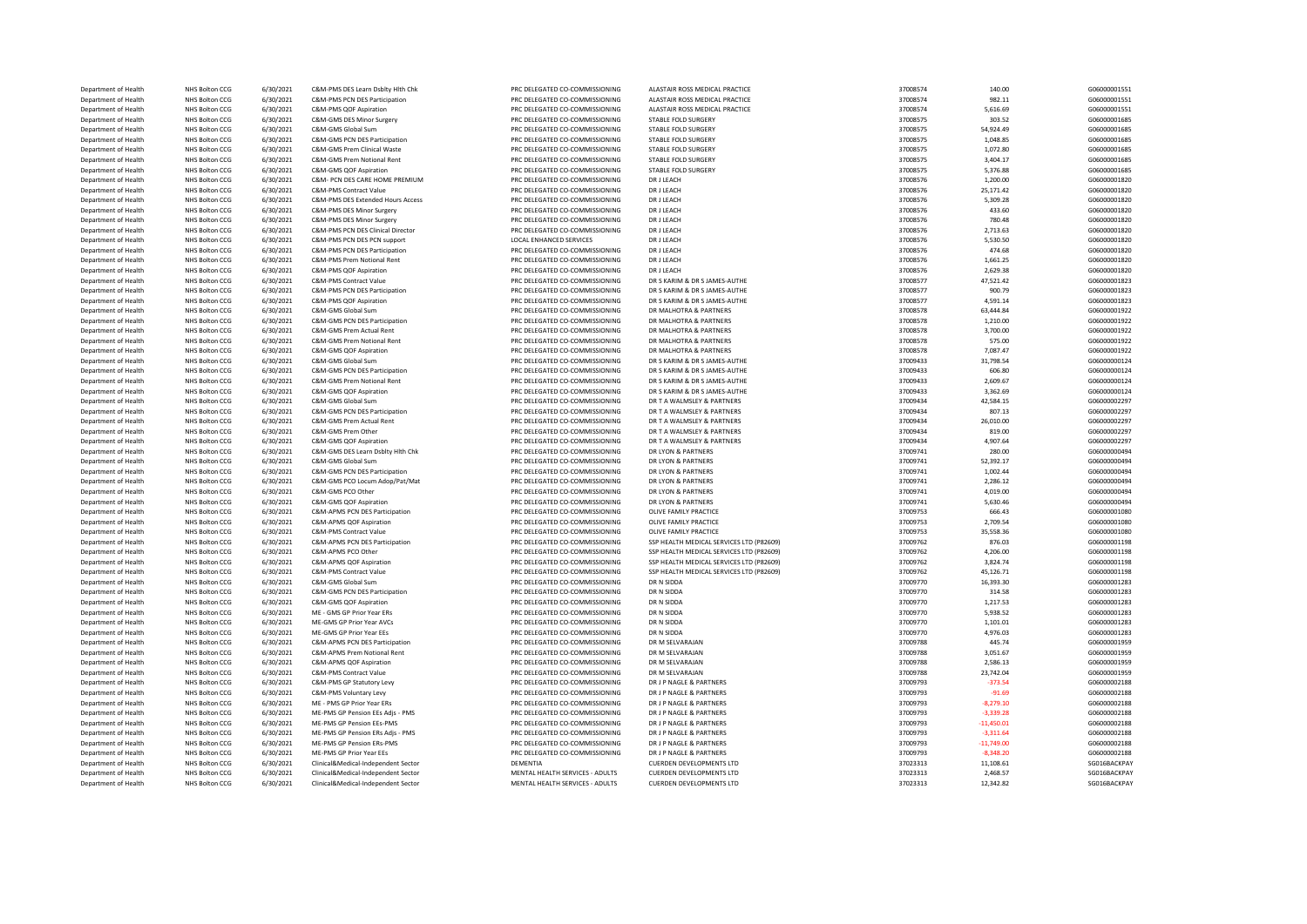| Department of Health | <b>NHS Bolton CCG</b> | 6/30/2021 | C&M-PMS DES Learn Dsblty Hith Chk        | PRC DELEGATED CO-COMMISSIONING  | ALASTAIR ROSS MEDICAL PRACTICE           | 37008574 | 140.00       | G06000001551 |
|----------------------|-----------------------|-----------|------------------------------------------|---------------------------------|------------------------------------------|----------|--------------|--------------|
| Department of Health | <b>NHS Bolton CCG</b> | 6/30/2021 | C&M-PMS PCN DES Participation            | PRC DELEGATED CO-COMMISSIONING  | ALASTAIR ROSS MEDICAL PRACTICE           | 37008574 | 982.11       | G06000001551 |
| Department of Health | NHS Bolton CCG        | 6/30/2021 | C&M-PMS QOF Aspiration                   | PRC DELEGATED CO-COMMISSIONING  | ALASTAIR ROSS MEDICAL PRACTICE           | 37008574 | 5,616.69     | G06000001551 |
| Department of Health | NHS Bolton CCG        | 6/30/2021 | C&M-GMS DES Minor Surgery                | PRC DELEGATED CO-COMMISSIONING  | STABLE FOLD SURGERY                      | 37008575 | 303.52       | G06000001685 |
| Department of Health | NHS Bolton CCG        | 6/30/2021 | C&M-GMS Global Sum                       | PRC DELEGATED CO-COMMISSIONING  | STABLE FOLD SURGERY                      | 37008575 | 54,924.49    | G06000001685 |
| Department of Health | NHS Bolton CCG        | 6/30/2021 | C&M-GMS PCN DES Participation            | PRC DELEGATED CO-COMMISSIONING  | STABLE FOLD SURGERY                      | 37008575 | 1.048.85     | G06000001685 |
|                      |                       |           |                                          |                                 |                                          |          |              |              |
| Department of Health | NHS Bolton CCG        | 6/30/2021 | C&M-GMS Prem Clinical Waste              | PRC DELEGATED CO-COMMISSIONING  | STABLE FOLD SURGERY                      | 37008575 | 1,072.80     | G06000001685 |
| Department of Health | <b>NHS Bolton CCG</b> | 6/30/2021 | C&M-GMS Prem Notional Rent               | PRC DELEGATED CO-COMMISSIONING  | <b>STABLE FOLD SURGERY</b>               | 37008575 | 3,404.17     | G06000001685 |
| Department of Health | NHS Bolton CCG        | 6/30/2021 | C&M-GMS QOF Aspiration                   | PRC DELEGATED CO-COMMISSIONING  | STABLE FOLD SURGERY                      | 37008575 | 5,376.88     | G06000001685 |
| Department of Health | NHS Bolton CCG        | 6/30/2021 | C&M- PCN DES CARE HOME PREMIUM           | PRC DELEGATED CO-COMMISSIONING  | DR J LEACH                               | 37008576 | 1,200.00     | G06000001820 |
| Department of Health | NHS Bolton CCG        | 6/30/2021 | C&M-PMS Contract Value                   | PRC DELEGATED CO-COMMISSIONING  | DR J LEACH                               | 37008576 | 25,171.42    | G06000001820 |
| Department of Health | NHS Bolton CCG        | 6/30/2021 | C&M-PMS DES Extended Hours Access        | PRC DELEGATED CO-COMMISSIONING  | DR J LEACH                               | 37008576 | 5,309.28     | G06000001820 |
| Department of Health | NHS Bolton CCG        | 6/30/2021 | C&M-PMS DES Minor Surgery                | PRC DELEGATED CO-COMMISSIONING  | DR J LEACH                               | 37008576 | 433.60       | G06000001820 |
| Department of Health | NHS Bolton CCG        | 6/30/2021 | C&M-PMS DES Minor Surgery                | PRC DELEGATED CO-COMMISSIONING  | DR J LEACH                               | 37008576 | 780.48       | G06000001820 |
| Department of Health | <b>NHS Bolton CCG</b> | 6/30/2021 | C&M-PMS PCN DES Clinical Director        | PRC DELEGATED CO-COMMISSIONING  | DR J LEACH                               | 37008576 | 2,713.63     | G06000001820 |
| Department of Health | NHS Bolton CCG        | 6/30/2021 | C&M-PMS PCN DES PCN support              | LOCAL ENHANCED SERVICES         | DR J LEACH                               | 37008576 | 5,530.50     | G06000001820 |
|                      |                       |           |                                          |                                 |                                          |          |              |              |
| Department of Health | NHS Bolton CCG        | 6/30/2021 | C&M-PMS PCN DES Participation            | PRC DELEGATED CO-COMMISSIONING  | DR J LEACH                               | 37008576 | 474.68       | G06000001820 |
| Department of Health | NHS Bolton CCG        | 6/30/2021 | C&M-PMS Prem Notional Rent               | PRC DELEGATED CO-COMMISSIONING  | DR J LEACH                               | 37008576 | 1,661.25     | G06000001820 |
| Department of Health | NHS Bolton CCG        | 6/30/2021 | C&M-PMS QOF Aspiration                   | PRC DELEGATED CO-COMMISSIONING  | DR J LEACH                               | 37008576 | 2,629.38     | G06000001820 |
| Department of Health | NHS Bolton CCG        | 6/30/2021 | <b>C&amp;M-PMS Contract Value</b>        | PRC DELEGATED CO-COMMISSIONING  | DR S KARIM & DR S JAMES-AUTHE            | 37008577 | 47,521.42    | G06000001823 |
| Department of Health | NHS Bolton CCG        | 6/30/2021 | C&M-PMS PCN DES Participation            | PRC DELEGATED CO-COMMISSIONING  | DR S KARIM & DR S JAMES-AUTHE            | 37008577 | 900.79       | G06000001823 |
| Department of Health | <b>NHS Bolton CCG</b> | 6/30/2021 | C&M-PMS QOF Aspiration                   | PRC DELEGATED CO-COMMISSIONING  | DR S KARIM & DR S JAMES-AUTHE            | 37008577 | 4,591.14     | G06000001823 |
| Department of Health | NHS Bolton CCG        | 6/30/2021 | C&M-GMS Global Sum                       | PRC DELEGATED CO-COMMISSIONING  | DR MALHOTRA & PARTNERS                   | 37008578 | 63.444.84    | G06000001922 |
| Department of Health | <b>NHS Bolton CCG</b> | 6/30/2021 | C&M-GMS PCN DES Participation            | PRC DELEGATED CO-COMMISSIONING  | DR MALHOTRA & PARTNERS                   | 37008578 | 1,210.00     | G06000001922 |
| Department of Health | NHS Bolton CCG        | 6/30/2021 | C&M-GMS Prem Actual Rent                 | PRC DELEGATED CO-COMMISSIONING  | DR MALHOTRA & PARTNERS                   | 37008578 | 3,700.00     | G06000001922 |
| Department of Health | NHS Bolton CCG        | 6/30/2021 | C&M-GMS Prem Notional Rent               | PRC DELEGATED CO-COMMISSIONING  | DR MALHOTRA & PARTNERS                   | 37008578 | 575.00       | G06000001922 |
| Department of Health | NHS Bolton CCG        | 6/30/2021 | C&M-GMS QOF Aspiration                   | PRC DELEGATED CO-COMMISSIONING  | DR MALHOTRA & PARTNERS                   | 37008578 | 7,087.47     | G06000001922 |
|                      |                       |           |                                          |                                 |                                          |          |              |              |
| Department of Health | NHS Bolton CCG        | 6/30/2021 | C&M-GMS Global Sum                       | PRC DELEGATED CO-COMMISSIONING  | DR S KARIM & DR S JAMES-AUTHE            | 37009433 | 31,798.54    | G06000000124 |
| Department of Health | NHS Bolton CCG        | 6/30/2021 | C&M-GMS PCN DES Participation            | PRC DELEGATED CO-COMMISSIONING  | DR S KARIM & DR S JAMES-AUTHE            | 37009433 | 606.80       | G06000000124 |
| Department of Health | NHS Bolton CCG        | 6/30/2021 | C&M-GMS Prem Notional Rent               | PRC DELEGATED CO-COMMISSIONING  | DR S KARIM & DR S JAMES-AUTHE            | 37009433 | 2.609.67     | G06000000124 |
| Department of Health | NHS Bolton CCG        | 6/30/2021 | C&M-GMS QOF Aspiration                   | PRC DELEGATED CO-COMMISSIONING  | DR S KARIM & DR S JAMES-AUTHE            | 37009433 | 3,362.69     | G06000000124 |
| Department of Health | NHS Bolton CCG        | 6/30/2021 | C&M-GMS Global Sum                       | PRC DELEGATED CO-COMMISSIONING  | DR T A WALMSLEY & PARTNERS               | 37009434 | 42,584.15    | G06000002297 |
| Department of Health | NHS Bolton CCG        | 6/30/2021 | C&M-GMS PCN DES Participation            | PRC DELEGATED CO-COMMISSIONING  | DR T A WALMSLEY & PARTNERS               | 37009434 | 807.13       | G06000002297 |
| Department of Health | NHS Bolton CCG        | 6/30/2021 | C&M-GMS Prem Actual Rent                 | PRC DELEGATED CO-COMMISSIONING  | DR T A WALMSLEY & PARTNERS               | 37009434 | 26,010.00    | G06000002297 |
| Department of Health | NHS Bolton CCG        | 6/30/2021 | C&M-GMS Prem Other                       | PRC DELEGATED CO-COMMISSIONING  | DR T A WALMSLEY & PARTNERS               | 37009434 | 819.00       | G06000002297 |
| Department of Health | NHS Bolton CCG        | 6/30/2021 | C&M-GMS QOF Aspiration                   | PRC DELEGATED CO-COMMISSIONING  | DR T A WALMSLEY & PARTNERS               | 37009434 | 4,907.64     | G06000002297 |
| Department of Health | NHS Bolton CCG        | 6/30/2021 | C&M-GMS DES Learn Dsblty Hlth Chk        | PRC DELEGATED CO-COMMISSIONING  | DR LYON & PARTNERS                       | 37009741 | 280.00       | G06000000494 |
| Department of Health | NHS Bolton CCG        | 6/30/2021 | C&M-GMS Global Sum                       | PRC DELEGATED CO-COMMISSIONING  | DR LYON & PARTNERS                       | 37009741 | 52,392.17    | G06000000494 |
|                      |                       |           |                                          |                                 |                                          |          |              |              |
| Department of Health | NHS Bolton CCG        | 6/30/2021 | C&M-GMS PCN DES Participation            | PRC DELEGATED CO-COMMISSIONING  | DR LYON & PARTNERS                       | 37009741 | 1,002.44     | G06000000494 |
| Department of Health | NHS Bolton CCG        | 6/30/2021 | C&M-GMS PCO Locum Adop/Pat/Mat           | PRC DELEGATED CO-COMMISSIONING  | DR LYON & PARTNERS                       | 37009741 | 2,286.12     | G06000000494 |
| Department of Health | NHS Bolton CCG        | 6/30/2021 | C&M-GMS PCO Other                        | PRC DELEGATED CO-COMMISSIONING  | DR IYON & PARTNERS                       | 37009741 | 4,019.00     | G06000000494 |
| Department of Health | NHS Bolton CCG        | 6/30/2021 | C&M-GMS QOF Aspiration                   | PRC DELEGATED CO-COMMISSIONING  | DR LYON & PARTNERS                       | 37009741 | 5,630.46     | G06000000494 |
| Department of Health | NHS Bolton CCG        | 6/30/2021 | C&M-APMS PCN DES Participation           | PRC DELEGATED CO-COMMISSIONING  | OLIVE FAMILY PRACTICE                    | 37009753 | 666.43       | G06000001080 |
| Department of Health | NHS Bolton CCG        | 6/30/2021 | C&M-APMS QOF Aspiration                  | PRC DELEGATED CO-COMMISSIONING  | OLIVE FAMILY PRACTICE                    | 37009753 | 2.709.54     | G06000001080 |
| Department of Health | NHS Bolton CCG        | 6/30/2021 | C&M-PMS Contract Value                   | PRC DELEGATED CO-COMMISSIONING  | OLIVE FAMILY PRACTICE                    | 37009753 | 35,558.36    | G06000001080 |
| Department of Health | NHS Bolton CCG        | 6/30/2021 | C&M-APMS PCN DES Participation           | PRC DELEGATED CO-COMMISSIONING  | SSP HEALTH MEDICAL SERVICES LTD (P82609) | 37009762 | 876.03       | G06000001198 |
| Department of Health | NHS Bolton CCG        | 6/30/2021 | C&M-APMS PCO Other                       | PRC DELEGATED CO-COMMISSIONING  | SSP HEALTH MEDICAL SERVICES LTD (P82609) | 37009762 | 4,206.00     | G06000001198 |
| Department of Health | NHS Bolton CCG        | 6/30/2021 | C&M-APMS QOF Aspiration                  | PRC DELEGATED CO-COMMISSIONING  | SSP HEALTH MEDICAL SERVICES LTD (P82609) | 37009762 | 3.824.74     | G06000001198 |
| Department of Health | NHS Bolton CCG        | 6/30/2021 | <b>C&amp;M-PMS Contract Value</b>        | PRC DELEGATED CO-COMMISSIONING  | SSP HEALTH MEDICAL SERVICES LTD (P82609) | 37009762 | 45,126.71    | G06000001198 |
| Department of Health | NHS Bolton CCG        | 6/30/2021 | C&M-GMS Global Sum                       | PRC DELEGATED CO-COMMISSIONING  | DR N SIDDA                               | 37009770 | 16,393.30    | G06000001283 |
|                      |                       |           |                                          |                                 |                                          |          |              |              |
| Department of Health | NHS Bolton CCG        | 6/30/2021 | <b>C&amp;M-GMS PCN DES Participation</b> | PRC DELEGATED CO-COMMISSIONING  | DR N SIDDA                               | 37009770 | 314.58       | G06000001283 |
| Department of Health | NHS Bolton CCG        | 6/30/2021 | C&M-GMS QOF Aspiration                   | PRC DELEGATED CO-COMMISSIONING  | DR N SIDDA                               | 37009770 | 1,217.53     | G06000001283 |
| Department of Health | NHS Bolton CCG        | 6/30/2021 | ME - GMS GP Prior Year ERs               | PRC DELEGATED CO-COMMISSIONING  | DR N SIDDA                               | 37009770 | 5,938.52     | G06000001283 |
| Department of Health | NHS Bolton CCG        | 6/30/2021 | ME-GMS GP Prior Year AVCs                | PRC DELEGATED CO-COMMISSIONING  | DR N SIDDA                               | 37009770 | 1,101.01     | G06000001283 |
| Department of Health | NHS Bolton CCG        | 6/30/2021 | MF-GMS GP Prior Year FFs                 | PRC DELEGATED CO-COMMISSIONING  | DR N SIDDA                               | 37009770 | 4,976.03     | G06000001283 |
| Department of Health | NHS Bolton CCG        | 6/30/2021 | C&M-APMS PCN DES Participation           | PRC DELEGATED CO-COMMISSIONING  | DR M SELVARAJAN                          | 37009788 | 445.74       | G06000001959 |
| Department of Health | NHS Bolton CCG        | 6/30/2021 | C&M-APMS Prem Notional Rent              | PRC DELEGATED CO-COMMISSIONING  | DR M SELVARAJAN                          | 37009788 | 3,051.67     | G06000001959 |
| Department of Health | NHS Bolton CCG        | 6/30/2021 | C&M-APMS QOF Aspiration                  | PRC DELEGATED CO-COMMISSIONING  | DR M SELVARAJAN                          | 37009788 | 2,586.13     | G06000001959 |
| Department of Health | NHS Bolton CCG        | 6/30/2021 | C&M-PMS Contract Value                   | PRC DELEGATED CO-COMMISSIONING  | DR M SELVARAJAN                          | 37009788 | 23,742.04    | G06000001959 |
| Department of Health | NHS Bolton CCG        | 6/30/2021 | C&M-PMS GP Statutory Levy                | PRC DELEGATED CO-COMMISSIONING  | DR J P NAGLE & PARTNERS                  | 37009793 | $-373.54$    | G06000002188 |
| Department of Health | NHS Bolton CCG        | 6/30/2021 | C&M-PMS Voluntary Levy                   | PRC DELEGATED CO-COMMISSIONING  | DR J P NAGLE & PARTNERS                  | 37009793 | $-91.69$     | G06000002188 |
|                      | NHS Bolton CCG        |           | MF - PMS GP Prior Year FRs               | PRC DELEGATED CO-COMMISSIONING  | DR I P NAGLE & PARTNERS                  |          |              | G06000002188 |
| Department of Health |                       | 6/30/2021 |                                          |                                 |                                          | 37009793 | $-8,279.10$  |              |
| Department of Health | NHS Bolton CCG        | 6/30/2021 | ME-PMS GP Pension EEs Adjs - PMS         | PRC DELEGATED CO-COMMISSIONING  | DR J P NAGLE & PARTNERS                  | 37009793 | $-3,339.28$  | G06000002188 |
| Department of Health | NHS Bolton CCG        | 6/30/2021 | ME-PMS GP Pension EEs-PMS                | PRC DELEGATED CO-COMMISSIONING  | DR J P NAGLE & PARTNERS                  | 37009793 | $-11,450.01$ | G06000002188 |
| Department of Health | NHS Bolton CCG        | 6/30/2021 | ME-PMS GP Pension ERs Adjs - PMS         | PRC DELEGATED CO-COMMISSIONING  | DR J P NAGLE & PARTNERS                  | 37009793 | $-3,311.64$  | G06000002188 |
| Department of Health | NHS Bolton CCG        | 6/30/2021 | ME-PMS GP Pension ERs-PMS                | PRC DELEGATED CO-COMMISSIONING  | DR J P NAGLE & PARTNERS                  | 37009793 | $-11,749.00$ | G06000002188 |
| Department of Health | NHS Bolton CCG        | 6/30/2021 | ME-PMS GP Prior Year EEs                 | PRC DELEGATED CO-COMMISSIONING  | DR J P NAGLE & PARTNERS                  | 37009793 | $-8,348.20$  | G06000002188 |
| Department of Health | NHS Bolton CCG        | 6/30/2021 | Clinical&Medical-Independent Sector      | DEMENTIA                        | CUERDEN DEVELOPMENTS LTD                 | 37023313 | 11,108.61    | SG016BACKPAY |
| Department of Health | NHS Bolton CCG        | 6/30/2021 | Clinical&Medical-Independent Sector      | MENTAL HEALTH SERVICES - ADULTS | <b>CUERDEN DEVELOPMENTS LTD</b>          | 37023313 | 2.468.57     | SG016BACKPAY |
| Department of Health | NHS Bolton CCG        | 6/30/2021 | Clinical&Medical-Independent Sector      | MENTAL HEALTH SERVICES - ADULTS | CUERDEN DEVELOPMENTS LTD                 | 37023313 | 12,342.82    | SG016BACKPAY |
|                      |                       |           |                                          |                                 |                                          |          |              |              |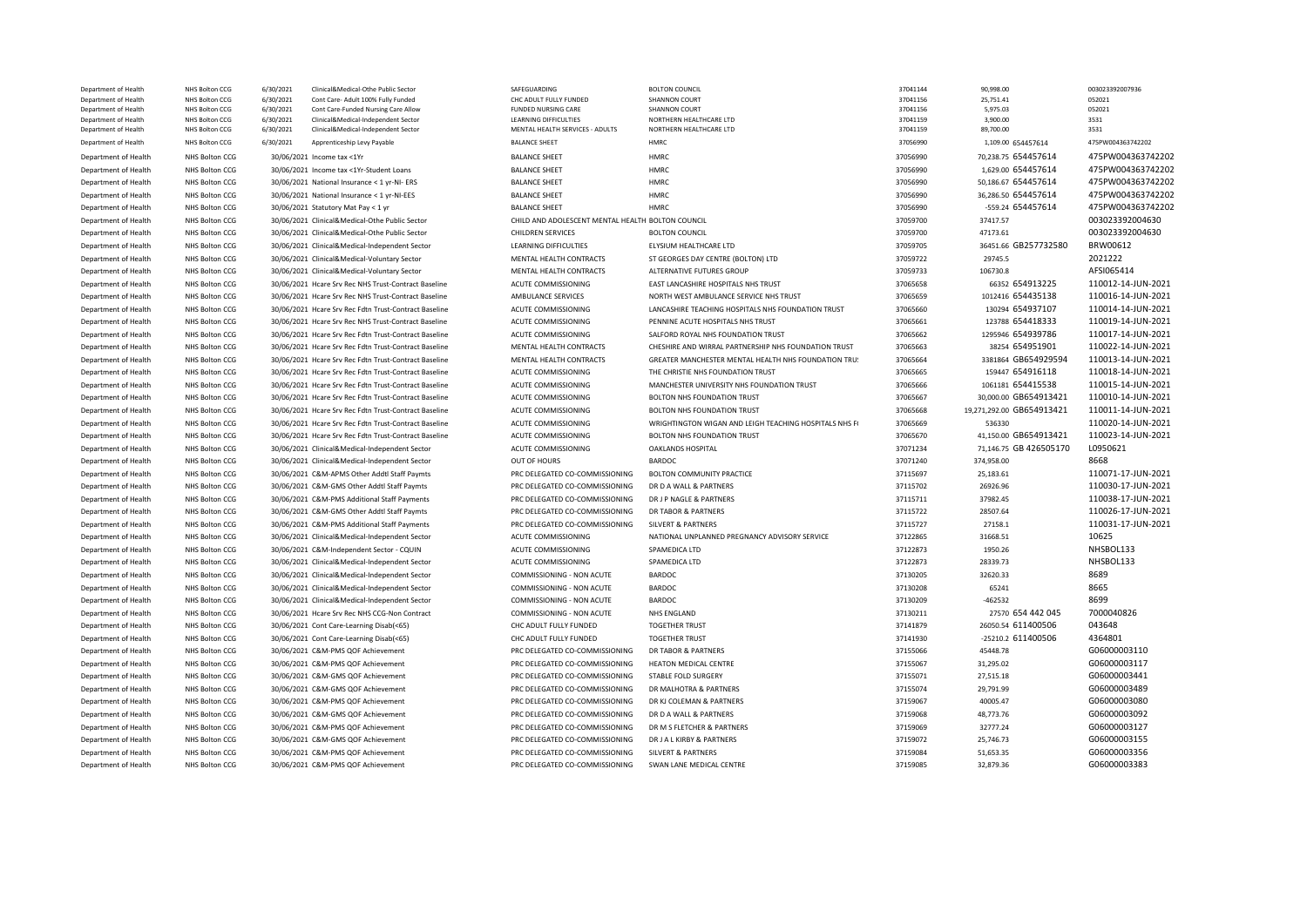| Department of Health                         | NHS Bolton CCG                          | 6/30/2021              | Clinical&Medical-Othe Public Sector                                        | SAFEGUARDING                                                    | <b>BOLTON COUNCIL</b>                                 | 37041144             | 90,998.00                 | 003023392007936    |
|----------------------------------------------|-----------------------------------------|------------------------|----------------------------------------------------------------------------|-----------------------------------------------------------------|-------------------------------------------------------|----------------------|---------------------------|--------------------|
| Department of Health                         | NHS Bolton CCG                          | 6/30/2021              | Cont Care- Adult 100% Fully Funded                                         | CHC ADULT FULLY FUNDED                                          | SHANNON COURT                                         | 37041156             | 25,751.41                 | 052021             |
| Department of Health                         | NHS Bolton CCG                          | 6/30/2021              | Cont Care-Funded Nursing Care Allow                                        | <b>FUNDED NURSING CARE</b>                                      | SHANNON COURT                                         | 37041156             | 5,975.03                  | 052021             |
| Department of Health<br>Department of Health | NHS Bolton CCG<br><b>NHS Bolton CCG</b> | 6/30/2021<br>6/30/2021 | Clinical&Medical-Independent Sector<br>Clinical&Medical-Independent Sector | <b>LEARNING DIFFICULTIES</b><br>MENTAL HEALTH SERVICES - ADULTS | NORTHERN HEALTHCARE LTD<br>NORTHERN HEALTHCARE LTD    | 37041159<br>37041159 | 3,900.00<br>89,700.00     | 3531<br>3531       |
|                                              |                                         |                        |                                                                            |                                                                 |                                                       |                      |                           |                    |
| Department of Health                         | NHS Bolton CCG                          | 6/30/2021              | Apprenticeship Levy Payable                                                | <b>BALANCE SHEET</b>                                            | HMRC                                                  | 37056990             | 1,109.00 654457614        | 475PW004363742202  |
| Department of Health                         | NHS Bolton CCG                          |                        | 30/06/2021 Income tax <1Yr                                                 | <b>BALANCE SHEET</b>                                            | <b>HMRC</b>                                           | 37056990             | 70,238.75 654457614       | 475PW004363742202  |
| Department of Health                         | <b>NHS Bolton CCG</b>                   |                        | 30/06/2021 Income tax <1Yr-Student Loans                                   | <b>BALANCE SHEET</b>                                            | <b>HMRC</b>                                           | 37056990             | 1.629.00 654457614        | 475PW004363742202  |
| Department of Health                         | NHS Bolton CCG                          |                        | 30/06/2021 National Insurance < 1 yr-NI- ERS                               | <b>BALANCE SHEET</b>                                            | <b>HMRC</b>                                           | 37056990             | 50,186.67 654457614       | 475PW004363742202  |
| Department of Health                         | NHS Bolton CCG                          |                        | 30/06/2021 National Insurance < 1 yr-NI-EES                                | <b>BALANCE SHEET</b>                                            | HMRC                                                  | 37056990             | 36,286.50 654457614       | 475PW004363742202  |
| Department of Health                         | NHS Bolton CCG                          |                        | 30/06/2021 Statutory Mat Pay < 1 yr                                        | <b>BALANCE SHEET</b>                                            | <b>HMRC</b>                                           | 37056990             | -559.24 654457614         | 475PW004363742202  |
| Department of Health                         | NHS Bolton CCG                          |                        | 30/06/2021 Clinical&Medical-Othe Public Sector                             | CHILD AND ADOLESCENT MENTAL HEALTH BOLTON COUNCIL               |                                                       | 37059700             | 37417.57                  | 003023392004630    |
| Department of Health                         | NHS Bolton CCG                          |                        | 30/06/2021 Clinical&Medical-Othe Public Sector                             | CHILDREN SERVICES                                               | <b>BOLTON COUNCIL</b>                                 | 37059700             | 47173.61                  | 003023392004630    |
| Department of Health                         | NHS Bolton CCG                          |                        | 30/06/2021 Clinical&Medical-Independent Sector                             | LEARNING DIFFICULTIES                                           | ELYSIUM HEALTHCARE LTD                                | 37059705             | 36451.66 GB257732580      | BRW00612           |
| Department of Health                         | NHS Bolton CCG                          |                        | 30/06/2021 Clinical&Medical-Voluntary Sector                               | MENTAL HEALTH CONTRACTS                                         | ST GEORGES DAY CENTRE (BOLTON) LTD                    | 37059722             | 29745.5                   | 2021222            |
| Department of Health                         | NHS Bolton CCG                          |                        | 30/06/2021 Clinical&Medical-Voluntary Sector                               | MENTAL HEALTH CONTRACTS                                         | ALTERNATIVE FUTURES GROUP                             | 37059733             | 106730.8                  | AFSI065414         |
| Department of Health                         | NHS Bolton CCG                          |                        | 30/06/2021 Hcare Srv Rec NHS Trust-Contract Baseline                       | ACUTE COMMISSIONING                                             | EAST LANCASHIRE HOSPITALS NHS TRUST                   | 37065658             | 66352 654913225           | 110012-14-JUN-2021 |
| Department of Health                         | NHS Bolton CCG                          |                        | 30/06/2021 Hcare Srv Rec NHS Trust-Contract Baseline                       | AMBULANCE SERVICES                                              | NORTH WEST AMBULANCE SERVICE NHS TRUST                | 37065659             | 1012416 654435138         | 110016-14-JUN-2021 |
| Department of Health                         | NHS Bolton CCG                          |                        | 30/06/2021 Hcare Srv Rec Fdtn Trust-Contract Baseline                      | ACUTE COMMISSIONING                                             | LANCASHIRE TEACHING HOSPITALS NHS FOUNDATION TRUST    | 37065660             | 130294 654937107          | 110014-14-JUN-2021 |
| Department of Health                         | NHS Bolton CCG                          |                        | 30/06/2021 Hcare Srv Rec NHS Trust-Contract Baseline                       | ACUTE COMMISSIONING                                             | PENNINE ACUTE HOSPITALS NHS TRUST                     | 37065661             | 123788 654418333          | 110019-14-JUN-2021 |
| Department of Health                         | NHS Bolton CCG                          |                        | 30/06/2021 Hcare Srv Rec Fdtn Trust-Contract Baseline                      | ACUTE COMMISSIONING                                             | SALFORD ROYAL NHS FOUNDATION TRUST                    | 37065662             | 1295946 654939786         | 110017-14-JUN-2021 |
| Department of Health                         | NHS Bolton CCG                          |                        | 30/06/2021 Hcare Srv Rec Fdtn Trust-Contract Baseline                      | MENTAL HEALTH CONTRACTS                                         | CHESHIRE AND WIRRAL PARTNERSHIP NHS FOUNDATION TRUST  | 37065663             | 38254 654951901           | 110022-14-JUN-2021 |
| Department of Health                         | NHS Bolton CCG                          |                        | 30/06/2021 Hcare Srv Rec Fdtn Trust-Contract Baseline                      | MENTAL HEALTH CONTRACTS                                         | GREATER MANCHESTER MENTAL HEALTH NHS FOUNDATION TRU:  | 37065664             | 3381864 GB654929594       | 110013-14-JUN-2021 |
| Department of Health                         | NHS Bolton CCG                          |                        | 30/06/2021 Hcare Srv Rec Fdtn Trust-Contract Baseline                      | ACUTE COMMISSIONING                                             | THE CHRISTIE NHS FOUNDATION TRUST                     | 37065665             | 159447 654916118          | 110018-14-JUN-2021 |
| Department of Health                         | NHS Bolton CCG                          |                        | 30/06/2021 Hcare Srv Rec Fdtn Trust-Contract Baseline                      | ACUTE COMMISSIONING                                             | MANCHESTER UNIVERSITY NHS FOUNDATION TRUST            | 37065666             | 1061181 654415538         | 110015-14-JUN-2021 |
|                                              | NHS Bolton CCG                          |                        | 30/06/2021 Hcare Srv Rec Fdtn Trust-Contract Baseline                      | ACUTE COMMISSIONING                                             | <b>BOLTON NHS FOUNDATION TRUST</b>                    | 37065667             | 30,000.00 GB654913421     | 110010-14-JUN-2021 |
| Department of Health                         |                                         |                        |                                                                            |                                                                 | BOLTON NHS FOUNDATION TRUST                           |                      | 19,271,292.00 GB654913421 | 110011-14-JUN-2021 |
| Department of Health                         | NHS Bolton CCG                          |                        | 30/06/2021 Hcare Srv Rec Fdtn Trust-Contract Baseline                      | ACUTE COMMISSIONING                                             |                                                       | 37065668             |                           |                    |
| Department of Health                         | NHS Bolton CCG                          |                        | 30/06/2021 Hcare Srv Rec Fdtn Trust-Contract Baseline                      | ACUTE COMMISSIONING                                             | WRIGHTINGTON WIGAN AND LEIGH TEACHING HOSPITALS NHS F | 37065669             | 536330                    | 110020-14-JUN-2021 |
| Department of Health                         | NHS Bolton CCG                          |                        | 30/06/2021 Hcare Srv Rec Fdtn Trust-Contract Baseline                      | ACUTE COMMISSIONING                                             | <b>BOLTON NHS FOUNDATION TRUST</b>                    | 37065670             | 41.150.00 GB654913421     | 110023-14-JUN-2021 |
| Department of Health                         | NHS Bolton CCG                          |                        | 30/06/2021 Clinical&Medical-Independent Sector                             | ACUTE COMMISSIONING                                             | OAKLANDS HOSPITAL                                     | 37071234             | 71,146.75 GB 426505170    | L0950621           |
| Department of Health                         | NHS Bolton CCG                          |                        | 30/06/2021 Clinical&Medical-Independent Sector                             | OUT OF HOURS                                                    | <b>BARDOC</b>                                         | 37071240             | 374,958.00                | 8668               |
| Department of Health                         | NHS Bolton CCG                          |                        | 30/06/2021 C&M-APMS Other Addtl Staff Paymts                               | PRC DELEGATED CO-COMMISSIONING                                  | BOLTON COMMUNITY PRACTICE                             | 37115697             | 25,183.61                 | 110071-17-JUN-2021 |
| Department of Health                         | NHS Bolton CCG                          |                        | 30/06/2021 C&M-GMS Other Addtl Staff Paymts                                | PRC DELEGATED CO-COMMISSIONING                                  | DR D A WALL & PARTNERS                                | 37115702             | 26926.96                  | 110030-17-JUN-2021 |
| Department of Health                         | NHS Bolton CCG                          |                        | 30/06/2021 C&M-PMS Additional Staff Payments                               | PRC DELEGATED CO-COMMISSIONING                                  | DR J P NAGLE & PARTNERS                               | 37115711             | 37982.45                  | 110038-17-JUN-2021 |
| Department of Health                         | NHS Bolton CCG                          |                        | 30/06/2021 C&M-GMS Other Addtl Staff Paymts                                | PRC DELEGATED CO-COMMISSIONING                                  | DR TABOR & PARTNERS                                   | 37115722             | 28507.64                  | 110026-17-JUN-2021 |
| Department of Health                         | NHS Bolton CCG                          |                        | 30/06/2021 C&M-PMS Additional Staff Payments                               | PRC DELEGATED CO-COMMISSIONING                                  | <b>SILVERT &amp; PARTNERS</b>                         | 37115727             | 27158.1                   | 110031-17-JUN-2021 |
| Department of Health                         | NHS Bolton CCG                          |                        | 30/06/2021 Clinical&Medical-Independent Sector                             | ACUTE COMMISSIONING                                             | NATIONAL UNPLANNED PREGNANCY ADVISORY SERVICE         | 37122865             | 31668.51                  | 10625              |
| Department of Health                         | NHS Bolton CCG                          |                        | 30/06/2021 C&M-Independent Sector - CQUIN                                  | ACUTE COMMISSIONING                                             | SPAMEDICA LTD                                         | 37122873             | 1950.26                   | NHSBOL133          |
| Department of Health                         | NHS Bolton CCG                          |                        | 30/06/2021 Clinical&Medical-Independent Sector                             | ACUTE COMMISSIONING                                             | SPAMEDICA LTD                                         | 37122873             | 28339.73                  | NHSBOL133          |
| Department of Health                         | NHS Bolton CCG                          |                        | 30/06/2021 Clinical&Medical-Independent Sector                             | COMMISSIONING - NON ACUTE                                       | <b>BARDOC</b>                                         | 37130205             | 32620.33                  | 8689               |
| Department of Health                         | NHS Bolton CCG                          |                        | 30/06/2021 Clinical&Medical-Independent Sector                             | COMMISSIONING - NON ACUTE                                       | <b>BARDOC</b>                                         | 37130208             | 65241                     | 8665               |
| Department of Health                         | NHS Bolton CCG                          |                        | 30/06/2021 Clinical&Medical-Independent Sector                             | COMMISSIONING - NON ACUTE                                       | <b>BARDOC</b>                                         | 37130209             | $-462532$                 | 8699               |
| Department of Health                         | NHS Bolton CCG                          |                        | 30/06/2021 Hcare Srv Rec NHS CCG-Non Contract                              | COMMISSIONING - NON ACUTE                                       | NHS ENGLAND                                           | 37130211             | 27570 654 442 045         | 7000040826         |
| Department of Health                         | NHS Bolton CCG                          |                        | 30/06/2021 Cont Care-Learning Disab(<65)                                   | CHC ADULT FULLY FUNDED                                          | <b>TOGETHER TRUST</b>                                 | 37141879             | 26050.54 611400506        | 043648             |
| Department of Health                         | NHS Bolton CCG                          |                        | 30/06/2021 Cont Care-Learning Disab(<65)                                   | CHC ADULT FULLY FUNDED                                          | <b>TOGETHER TRUST</b>                                 | 37141930             | -25210.2 611400506        | 4364801            |
| Department of Health                         | NHS Bolton CCG                          |                        | 30/06/2021 C&M-PMS QOF Achievement                                         | PRC DELEGATED CO-COMMISSIONING                                  | DR TABOR & PARTNERS                                   | 37155066             | 45448.78                  | G06000003110       |
|                                              |                                         |                        |                                                                            |                                                                 |                                                       | 37155067             |                           | G06000003117       |
| Department of Health                         | NHS Bolton CCG                          |                        | 30/06/2021 C&M-PMS QOF Achievement                                         | PRC DELEGATED CO-COMMISSIONING                                  | HEATON MEDICAL CENTRE                                 |                      | 31,295.02                 |                    |
| Department of Health                         | NHS Bolton CCG                          |                        | 30/06/2021 C&M-GMS QOF Achievement                                         | PRC DELEGATED CO-COMMISSIONING                                  | STABLE FOLD SURGERY                                   | 37155071             | 27,515.18                 | G06000003441       |
| Department of Health                         | <b>NHS Bolton CCG</b>                   |                        | 30/06/2021 C&M-GMS QOF Achievement                                         | PRC DELEGATED CO-COMMISSIONING                                  | DR MALHOTRA & PARTNERS                                | 37155074             | 29,791.99                 | G06000003489       |
| Department of Health                         | NHS Bolton CCG                          |                        | 30/06/2021 C&M-PMS QOF Achievement                                         | PRC DELEGATED CO-COMMISSIONING                                  | DR KJ COLEMAN & PARTNERS                              | 37159067             | 40005.47                  | G06000003080       |
| Department of Health                         | NHS Bolton CCG                          |                        | 30/06/2021 C&M-GMS QOF Achievement                                         | PRC DELEGATED CO-COMMISSIONING                                  | DR D A WALL & PARTNERS                                | 37159068             | 48,773.76                 | G06000003092       |
| Department of Health                         | NHS Bolton CCG                          |                        | 30/06/2021 C&M-PMS QOF Achievement                                         | PRC DELEGATED CO-COMMISSIONING                                  | DR M S FLETCHER & PARTNERS                            | 37159069             | 32777.24                  | G06000003127       |
| Department of Health                         | NHS Bolton CCG                          |                        | 30/06/2021 C&M-GMS QOF Achievement                                         | PRC DELEGATED CO-COMMISSIONING                                  | DR J A L KIRBY & PARTNERS                             | 37159072             | 25,746.73                 | G06000003155       |
| Department of Health                         | NHS Bolton CCG                          |                        | 30/06/2021 C&M-PMS QOF Achievement                                         | PRC DELEGATED CO-COMMISSIONING                                  | <b>SILVERT &amp; PARTNERS</b>                         | 37159084             | 51,653.35                 | G06000003356       |
| Department of Health                         | NHS Bolton CCG                          |                        | 30/06/2021 C&M-PMS QOF Achievement                                         | PRC DELEGATED CO-COMMISSIONING                                  | SWAN LANE MEDICAL CENTRE                              | 37159085             | 32,879.36                 | G06000003383       |
|                                              |                                         |                        |                                                                            |                                                                 |                                                       |                      |                           |                    |